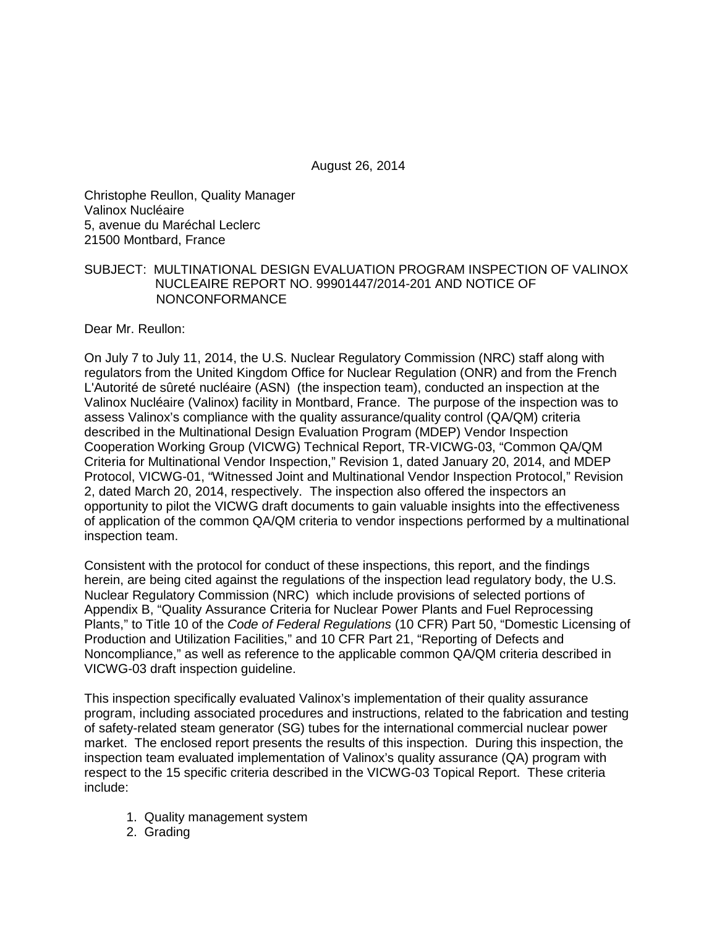August 26, 2014

Christophe Reullon, Quality Manager Valinox Nucléaire 5, avenue du Maréchal Leclerc 21500 Montbard, France

#### SUBJECT: MULTINATIONAL DESIGN EVALUATION PROGRAM INSPECTION OF VALINOX NUCLEAIRE REPORT NO. 99901447/2014-201 AND NOTICE OF NONCONFORMANCE

Dear Mr. Reullon:

On July 7 to July 11, 2014, the U.S. Nuclear Regulatory Commission (NRC) staff along with regulators from the United Kingdom Office for Nuclear Regulation (ONR) and from the French L'Autorité de sûreté nucléaire (ASN) (the inspection team), conducted an inspection at the Valinox Nucléaire (Valinox) facility in Montbard, France. The purpose of the inspection was to assess Valinox's compliance with the quality assurance/quality control (QA/QM) criteria described in the Multinational Design Evaluation Program (MDEP) Vendor Inspection Cooperation Working Group (VICWG) Technical Report, TR-VICWG-03, "Common QA/QM Criteria for Multinational Vendor Inspection," Revision 1, dated January 20, 2014, and MDEP Protocol, VICWG-01, "Witnessed Joint and Multinational Vendor Inspection Protocol," Revision 2, dated March 20, 2014, respectively. The inspection also offered the inspectors an opportunity to pilot the VICWG draft documents to gain valuable insights into the effectiveness of application of the common QA/QM criteria to vendor inspections performed by a multinational inspection team.

Consistent with the protocol for conduct of these inspections, this report, and the findings herein, are being cited against the regulations of the inspection lead regulatory body, the U.S. Nuclear Regulatory Commission (NRC) which include provisions of selected portions of Appendix B, "Quality Assurance Criteria for Nuclear Power Plants and Fuel Reprocessing Plants," to Title 10 of the *Code of Federal Regulations* (10 CFR) Part 50, "Domestic Licensing of Production and Utilization Facilities," and 10 CFR Part 21, "Reporting of Defects and Noncompliance," as well as reference to the applicable common QA/QM criteria described in VICWG-03 draft inspection guideline.

This inspection specifically evaluated Valinox's implementation of their quality assurance program, including associated procedures and instructions, related to the fabrication and testing of safety-related steam generator (SG) tubes for the international commercial nuclear power market. The enclosed report presents the results of this inspection. During this inspection, the inspection team evaluated implementation of Valinox's quality assurance (QA) program with respect to the 15 specific criteria described in the VICWG-03 Topical Report. These criteria include:

- 1. Quality management system
- 2. Grading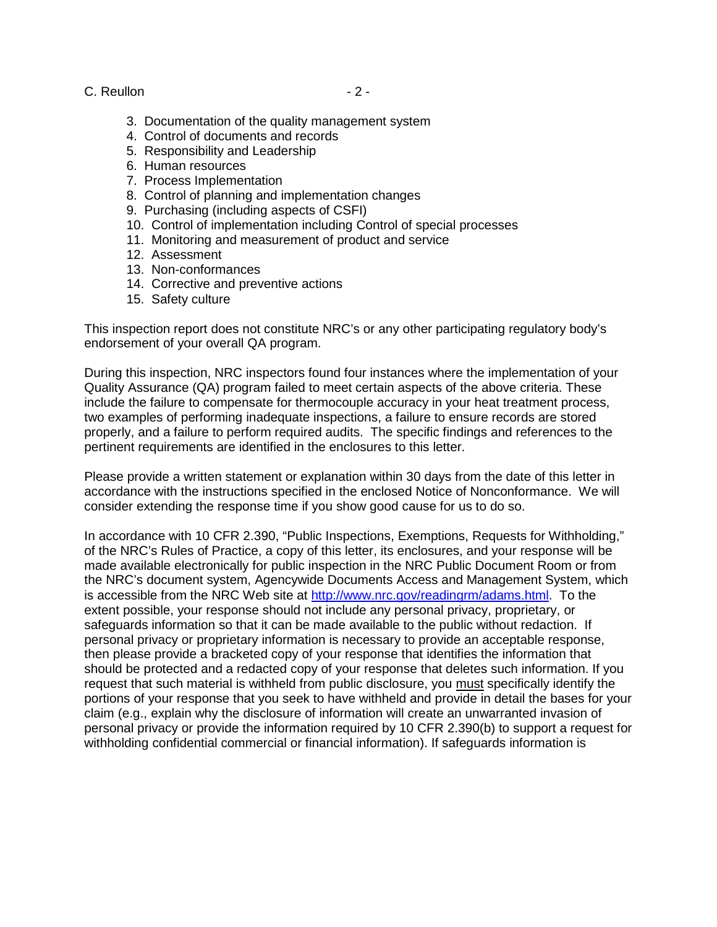C. Reullon  $-2 -$ 

- 3. Documentation of the quality management system
- 4. Control of documents and records
- 5. Responsibility and Leadership
- 6. Human resources
- 7. Process Implementation
- 8. Control of planning and implementation changes
- 9. Purchasing (including aspects of CSFI)
- 10. Control of implementation including Control of special processes
- 11. Monitoring and measurement of product and service
- 12. Assessment
- 13. Non-conformances
- 14. Corrective and preventive actions
- 15. Safety culture

This inspection report does not constitute NRC's or any other participating regulatory body's endorsement of your overall QA program.

During this inspection, NRC inspectors found four instances where the implementation of your Quality Assurance (QA) program failed to meet certain aspects of the above criteria. These include the failure to compensate for thermocouple accuracy in your heat treatment process, two examples of performing inadequate inspections, a failure to ensure records are stored properly, and a failure to perform required audits. The specific findings and references to the pertinent requirements are identified in the enclosures to this letter.

Please provide a written statement or explanation within 30 days from the date of this letter in accordance with the instructions specified in the enclosed Notice of Nonconformance. We will consider extending the response time if you show good cause for us to do so.

In accordance with 10 CFR 2.390, "Public Inspections, Exemptions, Requests for Withholding," of the NRC's Rules of Practice, a copy of this letter, its enclosures, and your response will be made available electronically for public inspection in the NRC Public Document Room or from the NRC's document system, Agencywide Documents Access and Management System, which is accessible from the NRC Web site at [http://www.nrc.gov/readingrm/adams.html.](http://www.nrc.gov/readingrm/adams.html) To the extent possible, your response should not include any personal privacy, proprietary, or safeguards information so that it can be made available to the public without redaction. If personal privacy or proprietary information is necessary to provide an acceptable response, then please provide a bracketed copy of your response that identifies the information that should be protected and a redacted copy of your response that deletes such information. If you request that such material is withheld from public disclosure, you must specifically identify the portions of your response that you seek to have withheld and provide in detail the bases for your claim (e.g., explain why the disclosure of information will create an unwarranted invasion of personal privacy or provide the information required by 10 CFR 2.390(b) to support a request for withholding confidential commercial or financial information). If safeguards information is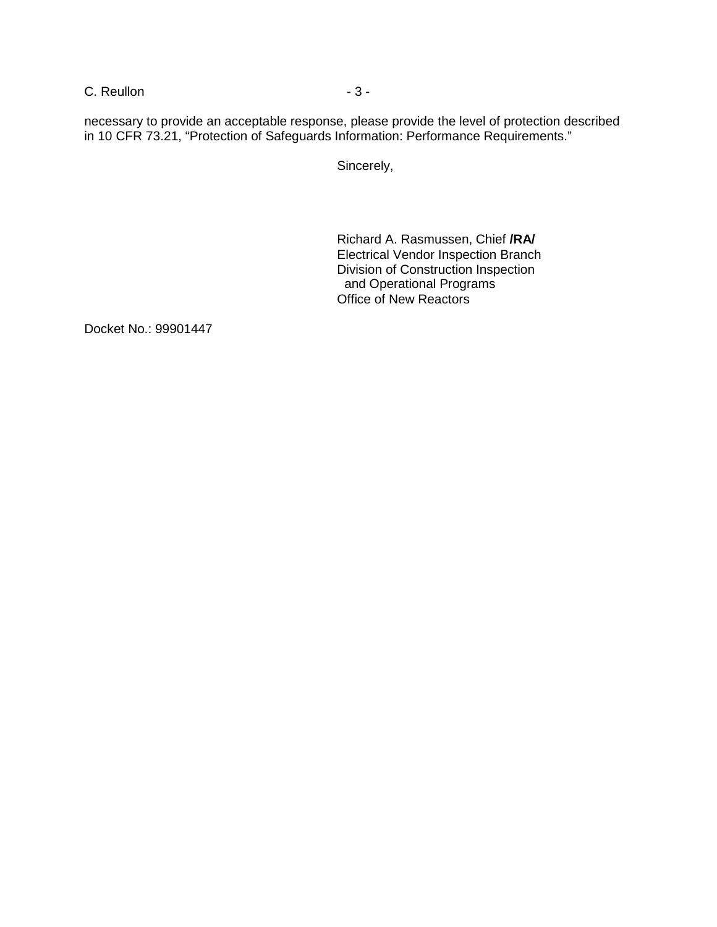## C. Reullon - 3 -

necessary to provide an acceptable response, please provide the level of protection described in 10 CFR 73.21, "Protection of Safeguards Information: Performance Requirements."

Sincerely,

Richard A. Rasmussen, Chief **/RA/** Electrical Vendor Inspection Branch Division of Construction Inspection and Operational Programs Office of New Reactors

Docket No.: 99901447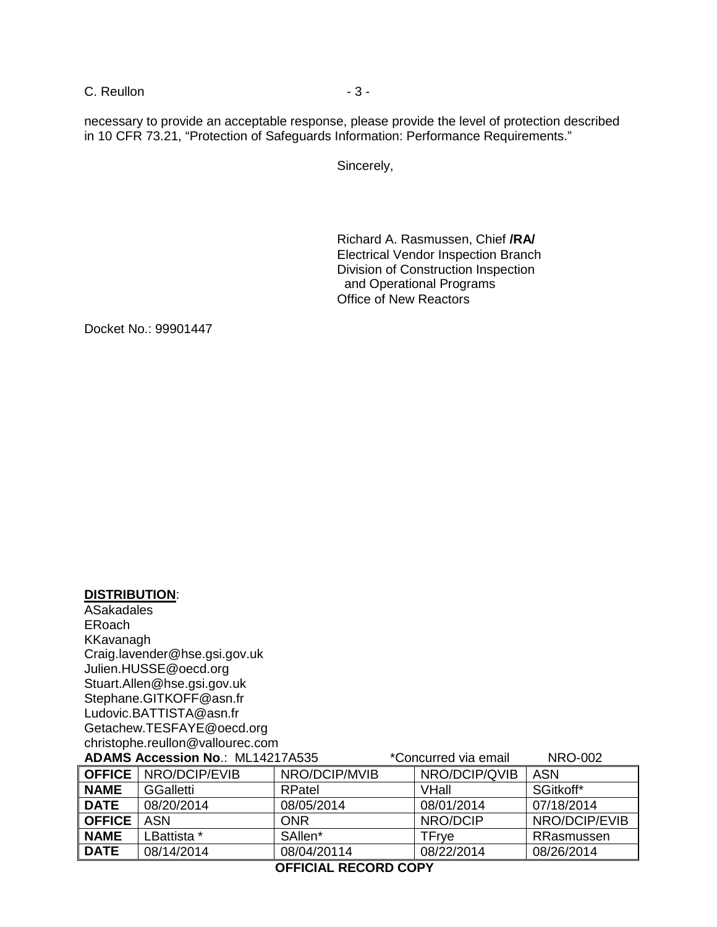## C. Reullon - 3 -

necessary to provide an acceptable response, please provide the level of protection described in 10 CFR 73.21, "Protection of Safeguards Information: Performance Requirements."

Sincerely,

Richard A. Rasmussen, Chief **/RA/** Electrical Vendor Inspection Branch Division of Construction Inspection and Operational Programs Office of New Reactors

Docket No.: 99901447

**DISTRIBUTION**: ASakadales ERoach

|                                         | KKavanagh                     |               |                      |                |  |  |
|-----------------------------------------|-------------------------------|---------------|----------------------|----------------|--|--|
|                                         | Craig.lavender@hse.gsi.gov.uk |               |                      |                |  |  |
|                                         | Julien.HUSSE@oecd.org         |               |                      |                |  |  |
|                                         | Stuart.Allen@hse.gsi.gov.uk   |               |                      |                |  |  |
|                                         | Stephane.GITKOFF@asn.fr       |               |                      |                |  |  |
|                                         | Ludovic.BATTISTA@asn.fr       |               |                      |                |  |  |
|                                         | Getachew.TESFAYE@oecd.org     |               |                      |                |  |  |
| christophe.reullon@vallourec.com        |                               |               |                      |                |  |  |
| <b>ADAMS Accession No.: ML14217A535</b> |                               |               | *Concurred via email | <b>NRO-002</b> |  |  |
| <b>OFFICE</b>                           | NRO/DCIP/EVIB                 | NRO/DCIP/MVIB | NRO/DCIP/QVIB        | <b>ASN</b>     |  |  |
| <b>NAME</b>                             | <b>GGalletti</b>              | <b>RPatel</b> | VHall                | SGitkoff*      |  |  |
| <b>DATE</b>                             | 08/20/2014                    | 08/05/2014    | 08/01/2014           | 07/18/2014     |  |  |
| <b>OFFICE</b>                           | <b>ASN</b>                    | <b>ONR</b>    | NRO/DCIP             | NRO/DCIP/EVIB  |  |  |
| <b>NAME</b>                             | LBattista *                   | SAllen*       | TFrye                | RRasmussen     |  |  |
| <b>DATE</b>                             | 08/14/2014                    | 08/04/20114   | 08/22/2014           | 08/26/2014     |  |  |

#### **OFFICIAL RECORD COPY**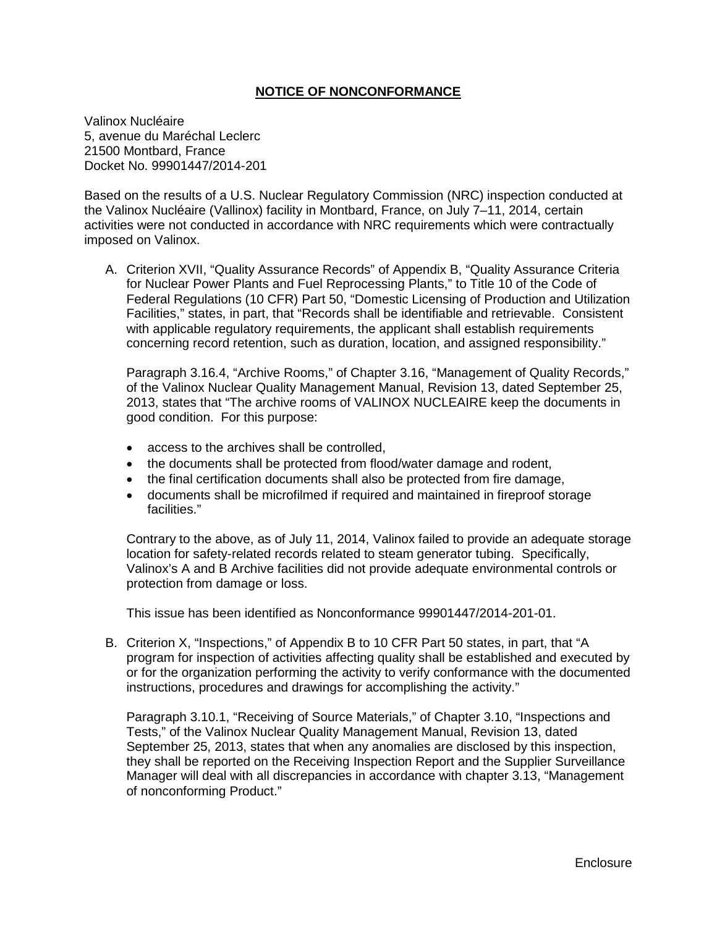#### **NOTICE OF NONCONFORMANCE**

Valinox Nucléaire 5, avenue du Maréchal Leclerc 21500 Montbard, France Docket No. 99901447/2014-201

Based on the results of a U.S. Nuclear Regulatory Commission (NRC) inspection conducted at the Valinox Nucléaire (Vallinox) facility in Montbard, France, on July 7–11, 2014, certain activities were not conducted in accordance with NRC requirements which were contractually imposed on Valinox.

A. Criterion XVII, "Quality Assurance Records" of Appendix B, "Quality Assurance Criteria for Nuclear Power Plants and Fuel Reprocessing Plants," to Title 10 of the Code of Federal Regulations (10 CFR) Part 50, "Domestic Licensing of Production and Utilization Facilities," states, in part, that "Records shall be identifiable and retrievable. Consistent with applicable regulatory requirements, the applicant shall establish requirements concerning record retention, such as duration, location, and assigned responsibility."

Paragraph 3.16.4, "Archive Rooms," of Chapter 3.16, "Management of Quality Records," of the Valinox Nuclear Quality Management Manual, Revision 13, dated September 25, 2013, states that "The archive rooms of VALINOX NUCLEAIRE keep the documents in good condition. For this purpose:

- access to the archives shall be controlled.
- the documents shall be protected from flood/water damage and rodent,
- the final certification documents shall also be protected from fire damage,
- documents shall be microfilmed if required and maintained in fireproof storage facilities."

Contrary to the above, as of July 11, 2014, Valinox failed to provide an adequate storage location for safety-related records related to steam generator tubing. Specifically, Valinox's A and B Archive facilities did not provide adequate environmental controls or protection from damage or loss.

This issue has been identified as Nonconformance 99901447/2014-201-01.

B. Criterion X, "Inspections," of Appendix B to 10 CFR Part 50 states, in part, that "A program for inspection of activities affecting quality shall be established and executed by or for the organization performing the activity to verify conformance with the documented instructions, procedures and drawings for accomplishing the activity."

Paragraph 3.10.1, "Receiving of Source Materials," of Chapter 3.10, "Inspections and Tests," of the Valinox Nuclear Quality Management Manual, Revision 13, dated September 25, 2013, states that when any anomalies are disclosed by this inspection, they shall be reported on the Receiving Inspection Report and the Supplier Surveillance Manager will deal with all discrepancies in accordance with chapter 3.13, "Management of nonconforming Product."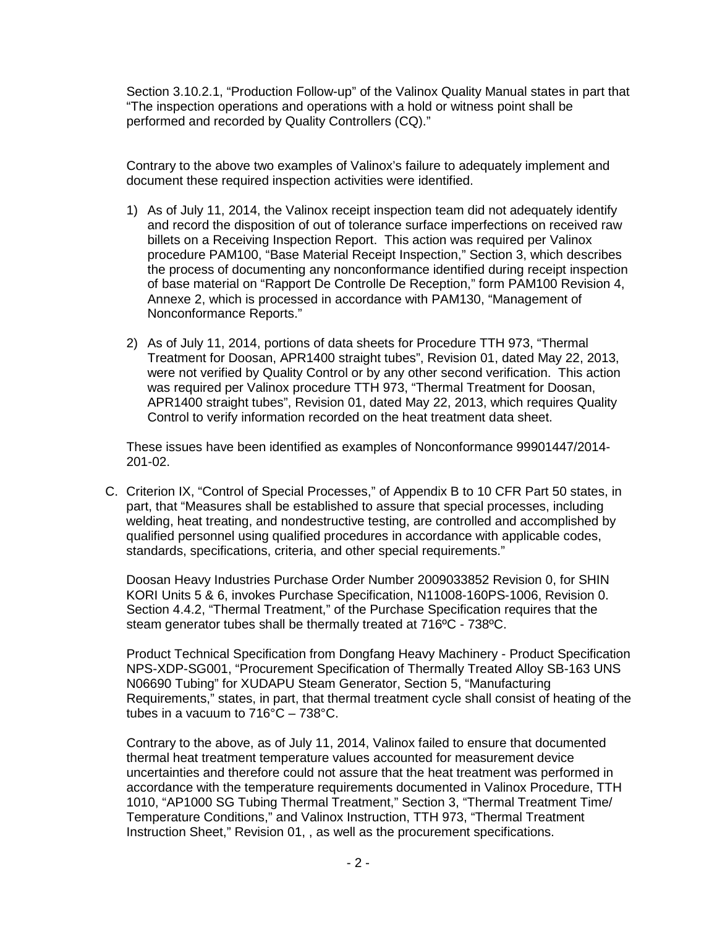Section 3.10.2.1, "Production Follow-up" of the Valinox Quality Manual states in part that "The inspection operations and operations with a hold or witness point shall be performed and recorded by Quality Controllers (CQ)."

Contrary to the above two examples of Valinox's failure to adequately implement and document these required inspection activities were identified.

- 1) As of July 11, 2014, the Valinox receipt inspection team did not adequately identify and record the disposition of out of tolerance surface imperfections on received raw billets on a Receiving Inspection Report. This action was required per Valinox procedure PAM100, "Base Material Receipt Inspection," Section 3, which describes the process of documenting any nonconformance identified during receipt inspection of base material on "Rapport De Controlle De Reception," form PAM100 Revision 4, Annexe 2, which is processed in accordance with PAM130, "Management of Nonconformance Reports."
- 2) As of July 11, 2014, portions of data sheets for Procedure TTH 973, "Thermal Treatment for Doosan, APR1400 straight tubes", Revision 01, dated May 22, 2013, were not verified by Quality Control or by any other second verification. This action was required per Valinox procedure TTH 973, "Thermal Treatment for Doosan, APR1400 straight tubes", Revision 01, dated May 22, 2013, which requires Quality Control to verify information recorded on the heat treatment data sheet.

These issues have been identified as examples of Nonconformance 99901447/2014- 201-02.

C. Criterion IX, "Control of Special Processes," of Appendix B to 10 CFR Part 50 states, in part, that "Measures shall be established to assure that special processes, including welding, heat treating, and nondestructive testing, are controlled and accomplished by qualified personnel using qualified procedures in accordance with applicable codes, standards, specifications, criteria, and other special requirements."

Doosan Heavy Industries Purchase Order Number 2009033852 Revision 0, for SHIN KORI Units 5 & 6, invokes Purchase Specification, N11008-160PS-1006, Revision 0. Section 4.4.2, "Thermal Treatment," of the Purchase Specification requires that the steam generator tubes shall be thermally treated at 716ºC - 738ºC.

Product Technical Specification from Dongfang Heavy Machinery - Product Specification NPS-XDP-SG001, "Procurement Specification of Thermally Treated Alloy SB-163 UNS N06690 Tubing" for XUDAPU Steam Generator, Section 5, "Manufacturing Requirements," states, in part, that thermal treatment cycle shall consist of heating of the tubes in a vacuum to 716°C – 738°C.

Contrary to the above, as of July 11, 2014, Valinox failed to ensure that documented thermal heat treatment temperature values accounted for measurement device uncertainties and therefore could not assure that the heat treatment was performed in accordance with the temperature requirements documented in Valinox Procedure, TTH 1010, "AP1000 SG Tubing Thermal Treatment," Section 3, "Thermal Treatment Time/ Temperature Conditions," and Valinox Instruction, TTH 973, "Thermal Treatment Instruction Sheet," Revision 01, , as well as the procurement specifications.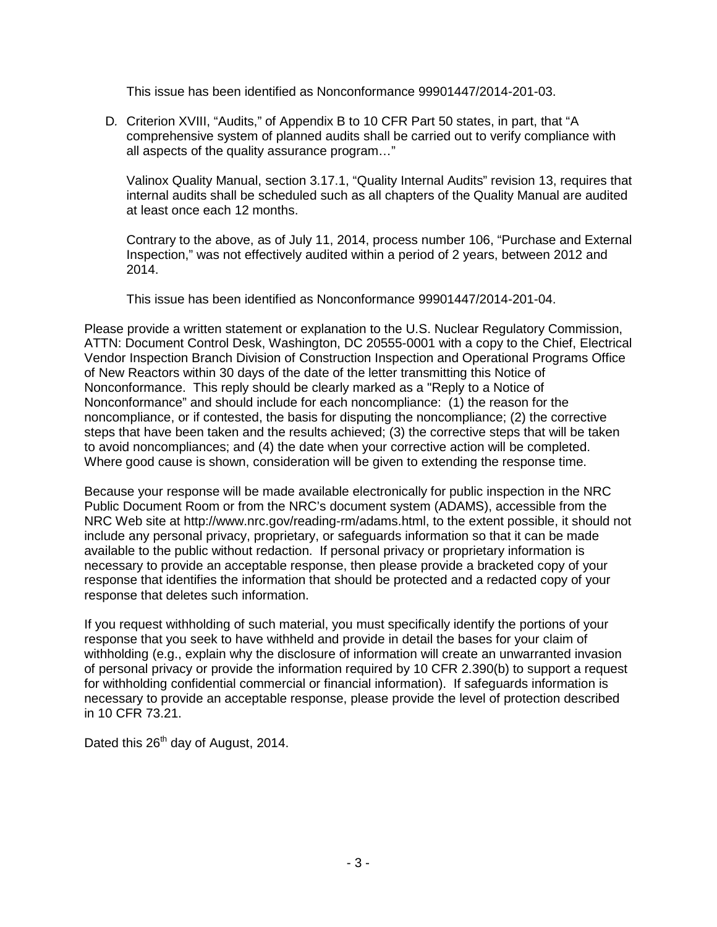This issue has been identified as Nonconformance 99901447/2014-201-03.

D*.* Criterion XVIII, "Audits," of Appendix B to 10 CFR Part 50 states, in part, that "A comprehensive system of planned audits shall be carried out to verify compliance with all aspects of the quality assurance program…"

Valinox Quality Manual, section 3.17.1, "Quality Internal Audits" revision 13, requires that internal audits shall be scheduled such as all chapters of the Quality Manual are audited at least once each 12 months.

Contrary to the above, as of July 11, 2014, process number 106, "Purchase and External Inspection," was not effectively audited within a period of 2 years, between 2012 and 2014.

This issue has been identified as Nonconformance 99901447/2014-201-04.

Please provide a written statement or explanation to the U.S. Nuclear Regulatory Commission, ATTN: Document Control Desk, Washington, DC 20555-0001 with a copy to the Chief, Electrical Vendor Inspection Branch Division of Construction Inspection and Operational Programs Office of New Reactors within 30 days of the date of the letter transmitting this Notice of Nonconformance. This reply should be clearly marked as a "Reply to a Notice of Nonconformance" and should include for each noncompliance: (1) the reason for the noncompliance, or if contested, the basis for disputing the noncompliance; (2) the corrective steps that have been taken and the results achieved; (3) the corrective steps that will be taken to avoid noncompliances; and (4) the date when your corrective action will be completed. Where good cause is shown, consideration will be given to extending the response time.

Because your response will be made available electronically for public inspection in the NRC Public Document Room or from the NRC's document system (ADAMS), accessible from the NRC Web site at http://www.nrc.gov/reading-rm/adams.html, to the extent possible, it should not include any personal privacy, proprietary, or safeguards information so that it can be made available to the public without redaction. If personal privacy or proprietary information is necessary to provide an acceptable response, then please provide a bracketed copy of your response that identifies the information that should be protected and a redacted copy of your response that deletes such information.

If you request withholding of such material, you must specifically identify the portions of your response that you seek to have withheld and provide in detail the bases for your claim of withholding (e.g., explain why the disclosure of information will create an unwarranted invasion of personal privacy or provide the information required by 10 CFR 2.390(b) to support a request for withholding confidential commercial or financial information). If safeguards information is necessary to provide an acceptable response, please provide the level of protection described in 10 CFR 73.21.

Dated this 26<sup>th</sup> day of August, 2014.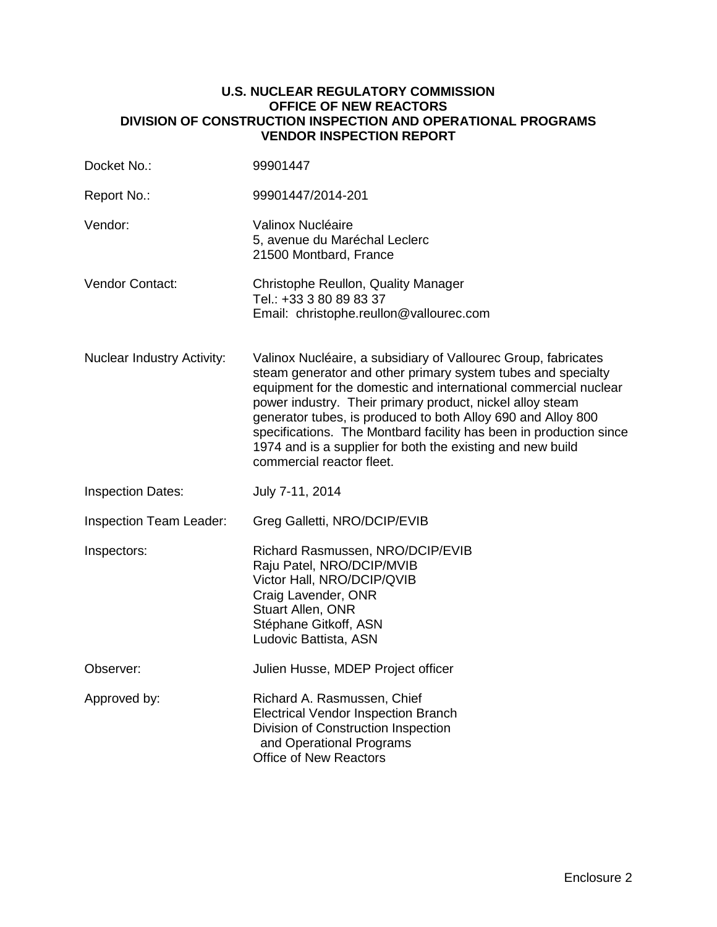#### **U.S. NUCLEAR REGULATORY COMMISSION OFFICE OF NEW REACTORS DIVISION OF CONSTRUCTION INSPECTION AND OPERATIONAL PROGRAMS VENDOR INSPECTION REPORT**

| Docket No.:                       | 99901447                                                                                                                                                                                                                                                                                                                                                                                                                                                                                        |
|-----------------------------------|-------------------------------------------------------------------------------------------------------------------------------------------------------------------------------------------------------------------------------------------------------------------------------------------------------------------------------------------------------------------------------------------------------------------------------------------------------------------------------------------------|
| Report No.:                       | 99901447/2014-201                                                                                                                                                                                                                                                                                                                                                                                                                                                                               |
| Vendor:                           | Valinox Nucléaire<br>5, avenue du Maréchal Leclerc<br>21500 Montbard, France                                                                                                                                                                                                                                                                                                                                                                                                                    |
| <b>Vendor Contact:</b>            | Christophe Reullon, Quality Manager<br>Tel.: +33 3 80 89 83 37<br>Email: christophe.reullon@vallourec.com                                                                                                                                                                                                                                                                                                                                                                                       |
| <b>Nuclear Industry Activity:</b> | Valinox Nucléaire, a subsidiary of Vallourec Group, fabricates<br>steam generator and other primary system tubes and specialty<br>equipment for the domestic and international commercial nuclear<br>power industry. Their primary product, nickel alloy steam<br>generator tubes, is produced to both Alloy 690 and Alloy 800<br>specifications. The Montbard facility has been in production since<br>1974 and is a supplier for both the existing and new build<br>commercial reactor fleet. |
| <b>Inspection Dates:</b>          | July 7-11, 2014                                                                                                                                                                                                                                                                                                                                                                                                                                                                                 |
| <b>Inspection Team Leader:</b>    | Greg Galletti, NRO/DCIP/EVIB                                                                                                                                                                                                                                                                                                                                                                                                                                                                    |
| Inspectors:                       | Richard Rasmussen, NRO/DCIP/EVIB<br>Raju Patel, NRO/DCIP/MVIB<br>Victor Hall, NRO/DCIP/QVIB<br>Craig Lavender, ONR<br>Stuart Allen, ONR<br>Stéphane Gitkoff, ASN<br>Ludovic Battista, ASN                                                                                                                                                                                                                                                                                                       |
| Observer:                         | Julien Husse, MDEP Project officer                                                                                                                                                                                                                                                                                                                                                                                                                                                              |
| Approved by:                      | Richard A. Rasmussen, Chief<br><b>Electrical Vendor Inspection Branch</b><br>Division of Construction Inspection<br>and Operational Programs<br><b>Office of New Reactors</b>                                                                                                                                                                                                                                                                                                                   |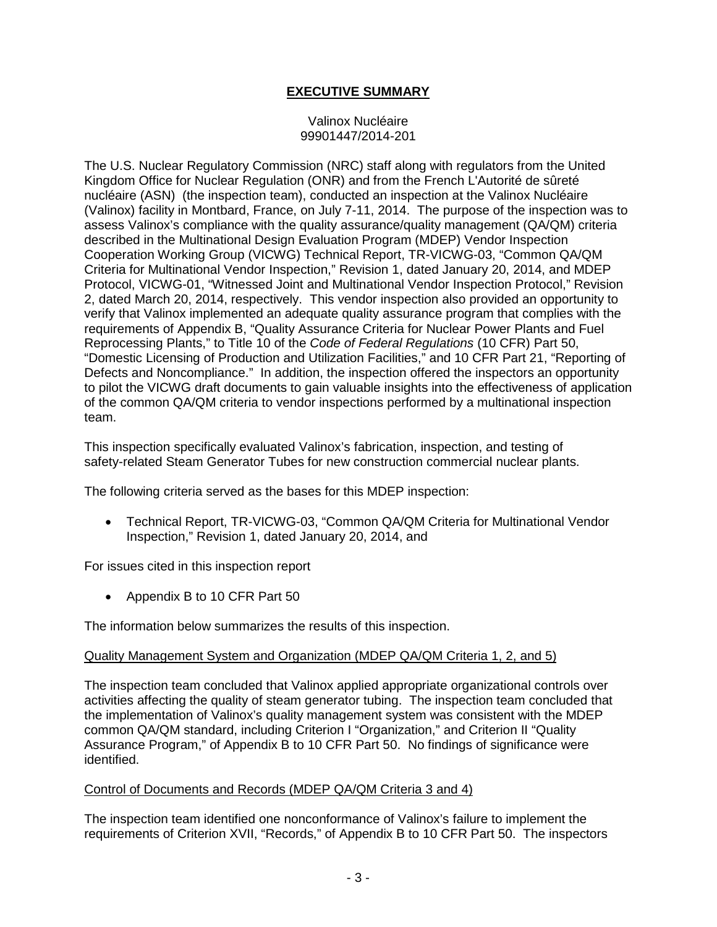# **EXECUTIVE SUMMARY**

#### Valinox Nucléaire 99901447/2014-201

The U.S. Nuclear Regulatory Commission (NRC) staff along with regulators from the United Kingdom Office for Nuclear Regulation (ONR) and from the French L'Autorité de sûreté nucléaire (ASN) (the inspection team), conducted an inspection at the Valinox Nucléaire (Valinox) facility in Montbard, France, on July 7-11, 2014. The purpose of the inspection was to assess Valinox's compliance with the quality assurance/quality management (QA/QM) criteria described in the Multinational Design Evaluation Program (MDEP) Vendor Inspection Cooperation Working Group (VICWG) Technical Report, TR-VICWG-03, "Common QA/QM Criteria for Multinational Vendor Inspection," Revision 1, dated January 20, 2014, and MDEP Protocol, VICWG-01, "Witnessed Joint and Multinational Vendor Inspection Protocol," Revision 2, dated March 20, 2014, respectively. This vendor inspection also provided an opportunity to verify that Valinox implemented an adequate quality assurance program that complies with the requirements of Appendix B, "Quality Assurance Criteria for Nuclear Power Plants and Fuel Reprocessing Plants," to Title 10 of the *Code of Federal Regulations* (10 CFR) Part 50, "Domestic Licensing of Production and Utilization Facilities," and 10 CFR Part 21, "Reporting of Defects and Noncompliance." In addition, the inspection offered the inspectors an opportunity to pilot the VICWG draft documents to gain valuable insights into the effectiveness of application of the common QA/QM criteria to vendor inspections performed by a multinational inspection team.

This inspection specifically evaluated Valinox's fabrication, inspection, and testing of safety-related Steam Generator Tubes for new construction commercial nuclear plants.

The following criteria served as the bases for this MDEP inspection:

• Technical Report, TR-VICWG-03, "Common QA/QM Criteria for Multinational Vendor Inspection," Revision 1, dated January 20, 2014, and

For issues cited in this inspection report

• Appendix B to 10 CFR Part 50

The information below summarizes the results of this inspection.

## Quality Management System and Organization (MDEP QA/QM Criteria 1, 2, and 5)

The inspection team concluded that Valinox applied appropriate organizational controls over activities affecting the quality of steam generator tubing. The inspection team concluded that the implementation of Valinox's quality management system was consistent with the MDEP common QA/QM standard, including Criterion I "Organization," and Criterion II "Quality Assurance Program," of Appendix B to 10 CFR Part 50. No findings of significance were identified.

#### Control of Documents and Records (MDEP QA/QM Criteria 3 and 4)

The inspection team identified one nonconformance of Valinox's failure to implement the requirements of Criterion XVII, "Records," of Appendix B to 10 CFR Part 50. The inspectors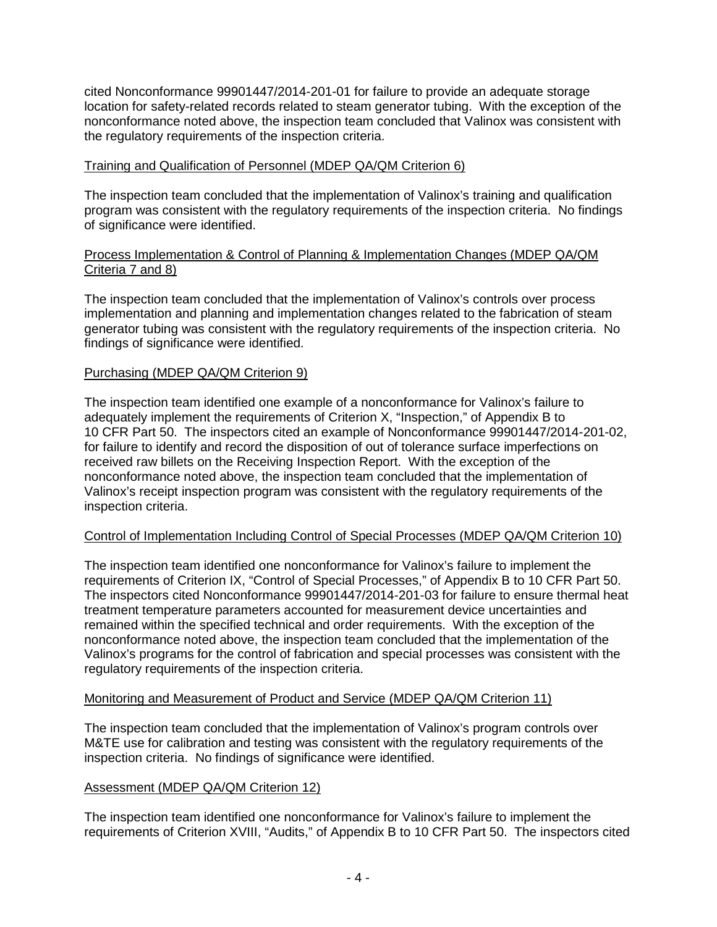cited Nonconformance 99901447/2014-201-01 for failure to provide an adequate storage location for safety-related records related to steam generator tubing. With the exception of the nonconformance noted above, the inspection team concluded that Valinox was consistent with the regulatory requirements of the inspection criteria.

## Training and Qualification of Personnel (MDEP QA/QM Criterion 6)

The inspection team concluded that the implementation of Valinox's training and qualification program was consistent with the regulatory requirements of the inspection criteria. No findings of significance were identified.

#### Process Implementation & Control of Planning & Implementation Changes (MDEP QA/QM Criteria 7 and 8)

The inspection team concluded that the implementation of Valinox's controls over process implementation and planning and implementation changes related to the fabrication of steam generator tubing was consistent with the regulatory requirements of the inspection criteria. No findings of significance were identified.

#### Purchasing (MDEP QA/QM Criterion 9)

The inspection team identified one example of a nonconformance for Valinox's failure to adequately implement the requirements of Criterion X, "Inspection," of Appendix B to 10 CFR Part 50. The inspectors cited an example of Nonconformance 99901447/2014-201-02, for failure to identify and record the disposition of out of tolerance surface imperfections on received raw billets on the Receiving Inspection Report. With the exception of the nonconformance noted above, the inspection team concluded that the implementation of Valinox's receipt inspection program was consistent with the regulatory requirements of the inspection criteria.

## Control of Implementation Including Control of Special Processes (MDEP QA/QM Criterion 10)

The inspection team identified one nonconformance for Valinox's failure to implement the requirements of Criterion IX, "Control of Special Processes," of Appendix B to 10 CFR Part 50. The inspectors cited Nonconformance 99901447/2014-201-03 for failure to ensure thermal heat treatment temperature parameters accounted for measurement device uncertainties and remained within the specified technical and order requirements. With the exception of the nonconformance noted above, the inspection team concluded that the implementation of the Valinox's programs for the control of fabrication and special processes was consistent with the regulatory requirements of the inspection criteria.

#### Monitoring and Measurement of Product and Service (MDEP QA/QM Criterion 11)

The inspection team concluded that the implementation of Valinox's program controls over M&TE use for calibration and testing was consistent with the regulatory requirements of the inspection criteria. No findings of significance were identified.

## Assessment (MDEP QA/QM Criterion 12)

The inspection team identified one nonconformance for Valinox's failure to implement the requirements of Criterion XVIII, "Audits," of Appendix B to 10 CFR Part 50. The inspectors cited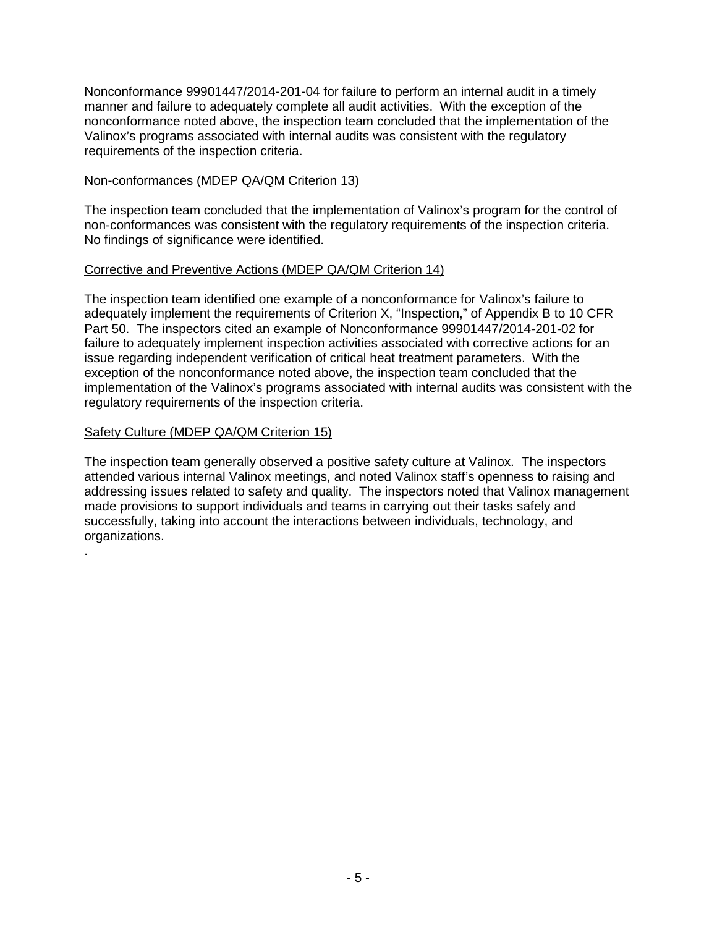Nonconformance 99901447/2014-201-04 for failure to perform an internal audit in a timely manner and failure to adequately complete all audit activities. With the exception of the nonconformance noted above, the inspection team concluded that the implementation of the Valinox's programs associated with internal audits was consistent with the regulatory requirements of the inspection criteria.

#### Non-conformances (MDEP QA/QM Criterion 13)

The inspection team concluded that the implementation of Valinox's program for the control of non-conformances was consistent with the regulatory requirements of the inspection criteria. No findings of significance were identified.

## Corrective and Preventive Actions (MDEP QA/QM Criterion 14)

The inspection team identified one example of a nonconformance for Valinox's failure to adequately implement the requirements of Criterion X, "Inspection," of Appendix B to 10 CFR Part 50. The inspectors cited an example of Nonconformance 99901447/2014-201-02 for failure to adequately implement inspection activities associated with corrective actions for an issue regarding independent verification of critical heat treatment parameters. With the exception of the nonconformance noted above, the inspection team concluded that the implementation of the Valinox's programs associated with internal audits was consistent with the regulatory requirements of the inspection criteria.

#### Safety Culture (MDEP QA/QM Criterion 15)

.

The inspection team generally observed a positive safety culture at Valinox. The inspectors attended various internal Valinox meetings, and noted Valinox staff's openness to raising and addressing issues related to safety and quality. The inspectors noted that Valinox management made provisions to support individuals and teams in carrying out their tasks safely and successfully, taking into account the interactions between individuals, technology, and organizations.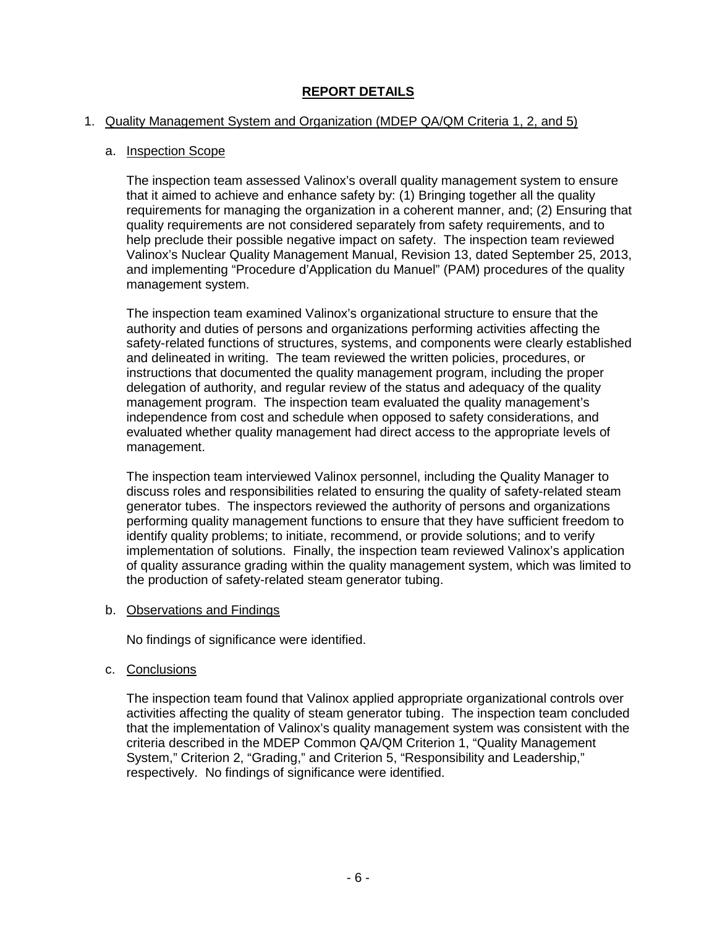# **REPORT DETAILS**

#### 1. Quality Management System and Organization (MDEP QA/QM Criteria 1, 2, and 5)

#### a. Inspection Scope

The inspection team assessed Valinox's overall quality management system to ensure that it aimed to achieve and enhance safety by: (1) Bringing together all the quality requirements for managing the organization in a coherent manner, and; (2) Ensuring that quality requirements are not considered separately from safety requirements, and to help preclude their possible negative impact on safety. The inspection team reviewed Valinox's Nuclear Quality Management Manual, Revision 13, dated September 25, 2013, and implementing "Procedure d'Application du Manuel" (PAM) procedures of the quality management system.

The inspection team examined Valinox's organizational structure to ensure that the authority and duties of persons and organizations performing activities affecting the safety-related functions of structures, systems, and components were clearly established and delineated in writing. The team reviewed the written policies, procedures, or instructions that documented the quality management program, including the proper delegation of authority, and regular review of the status and adequacy of the quality management program. The inspection team evaluated the quality management's independence from cost and schedule when opposed to safety considerations, and evaluated whether quality management had direct access to the appropriate levels of management.

The inspection team interviewed Valinox personnel, including the Quality Manager to discuss roles and responsibilities related to ensuring the quality of safety-related steam generator tubes. The inspectors reviewed the authority of persons and organizations performing quality management functions to ensure that they have sufficient freedom to identify quality problems; to initiate, recommend, or provide solutions; and to verify implementation of solutions. Finally, the inspection team reviewed Valinox's application of quality assurance grading within the quality management system, which was limited to the production of safety-related steam generator tubing.

#### b. Observations and Findings

No findings of significance were identified.

#### c. Conclusions

The inspection team found that Valinox applied appropriate organizational controls over activities affecting the quality of steam generator tubing. The inspection team concluded that the implementation of Valinox's quality management system was consistent with the criteria described in the MDEP Common QA/QM Criterion 1, "Quality Management System," Criterion 2, "Grading," and Criterion 5, "Responsibility and Leadership," respectively. No findings of significance were identified.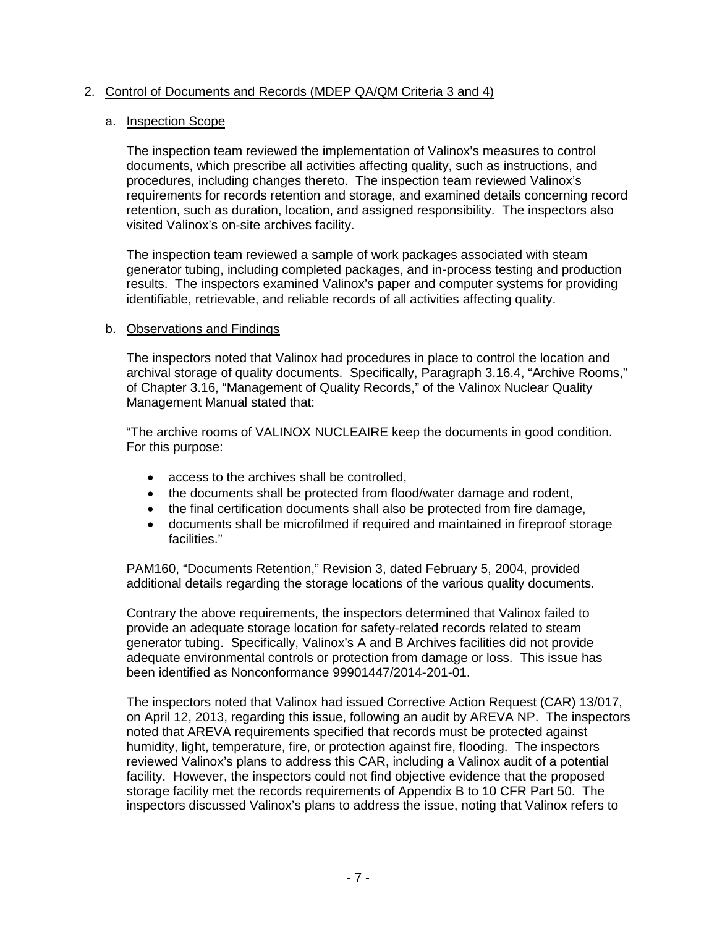## 2. Control of Documents and Records (MDEP QA/QM Criteria 3 and 4)

#### a. Inspection Scope

The inspection team reviewed the implementation of Valinox's measures to control documents, which prescribe all activities affecting quality, such as instructions, and procedures, including changes thereto. The inspection team reviewed Valinox's requirements for records retention and storage, and examined details concerning record retention, such as duration, location, and assigned responsibility. The inspectors also visited Valinox's on-site archives facility.

The inspection team reviewed a sample of work packages associated with steam generator tubing, including completed packages, and in-process testing and production results. The inspectors examined Valinox's paper and computer systems for providing identifiable, retrievable, and reliable records of all activities affecting quality.

#### b. Observations and Findings

The inspectors noted that Valinox had procedures in place to control the location and archival storage of quality documents. Specifically, Paragraph 3.16.4, "Archive Rooms," of Chapter 3.16, "Management of Quality Records," of the Valinox Nuclear Quality Management Manual stated that:

"The archive rooms of VALINOX NUCLEAIRE keep the documents in good condition. For this purpose:

- access to the archives shall be controlled,
- the documents shall be protected from flood/water damage and rodent,
- the final certification documents shall also be protected from fire damage,
- documents shall be microfilmed if required and maintained in fireproof storage facilities."

PAM160, "Documents Retention," Revision 3, dated February 5, 2004, provided additional details regarding the storage locations of the various quality documents.

Contrary the above requirements, the inspectors determined that Valinox failed to provide an adequate storage location for safety-related records related to steam generator tubing. Specifically, Valinox's A and B Archives facilities did not provide adequate environmental controls or protection from damage or loss. This issue has been identified as Nonconformance 99901447/2014-201-01.

The inspectors noted that Valinox had issued Corrective Action Request (CAR) 13/017, on April 12, 2013, regarding this issue, following an audit by AREVA NP. The inspectors noted that AREVA requirements specified that records must be protected against humidity, light, temperature, fire, or protection against fire, flooding. The inspectors reviewed Valinox's plans to address this CAR, including a Valinox audit of a potential facility. However, the inspectors could not find objective evidence that the proposed storage facility met the records requirements of Appendix B to 10 CFR Part 50. The inspectors discussed Valinox's plans to address the issue, noting that Valinox refers to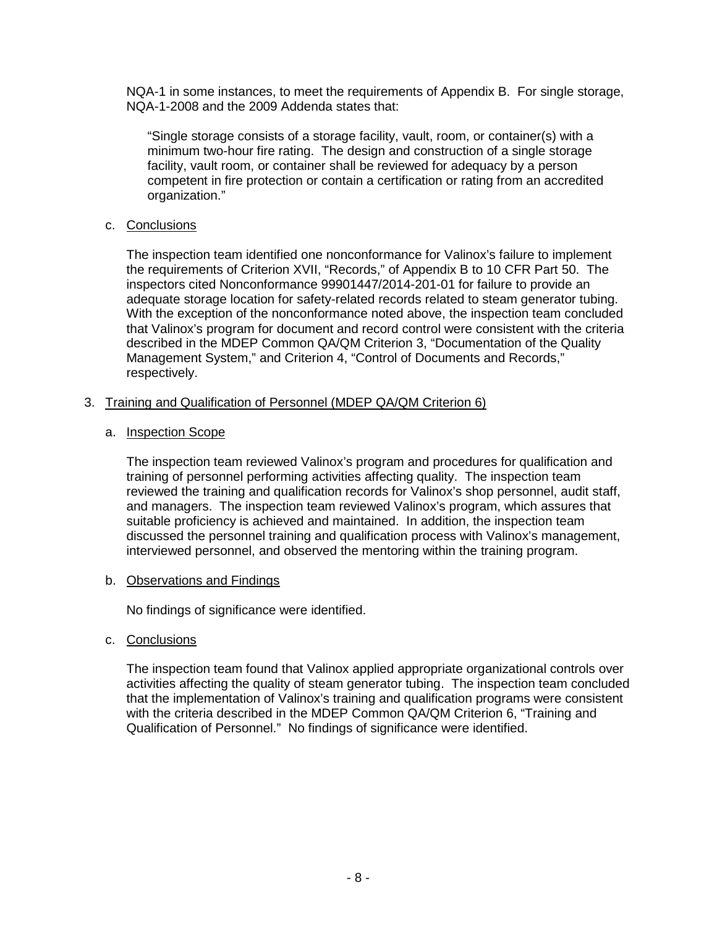NQA-1 in some instances, to meet the requirements of Appendix B. For single storage, NQA-1-2008 and the 2009 Addenda states that:

"Single storage consists of a storage facility, vault, room, or container(s) with a minimum two-hour fire rating. The design and construction of a single storage facility, vault room, or container shall be reviewed for adequacy by a person competent in fire protection or contain a certification or rating from an accredited organization."

## c. Conclusions

The inspection team identified one nonconformance for Valinox's failure to implement the requirements of Criterion XVII, "Records," of Appendix B to 10 CFR Part 50. The inspectors cited Nonconformance 99901447/2014-201-01 for failure to provide an adequate storage location for safety-related records related to steam generator tubing. With the exception of the nonconformance noted above, the inspection team concluded that Valinox's program for document and record control were consistent with the criteria described in the MDEP Common QA/QM Criterion 3, "Documentation of the Quality Management System," and Criterion 4, "Control of Documents and Records," respectively.

#### 3. Training and Qualification of Personnel (MDEP QA/QM Criterion 6)

#### a. Inspection Scope

The inspection team reviewed Valinox's program and procedures for qualification and training of personnel performing activities affecting quality. The inspection team reviewed the training and qualification records for Valinox's shop personnel, audit staff, and managers. The inspection team reviewed Valinox's program, which assures that suitable proficiency is achieved and maintained. In addition, the inspection team discussed the personnel training and qualification process with Valinox's management, interviewed personnel, and observed the mentoring within the training program.

#### b. Observations and Findings

No findings of significance were identified.

#### c. Conclusions

The inspection team found that Valinox applied appropriate organizational controls over activities affecting the quality of steam generator tubing. The inspection team concluded that the implementation of Valinox's training and qualification programs were consistent with the criteria described in the MDEP Common QA/QM Criterion 6, "Training and Qualification of Personnel." No findings of significance were identified.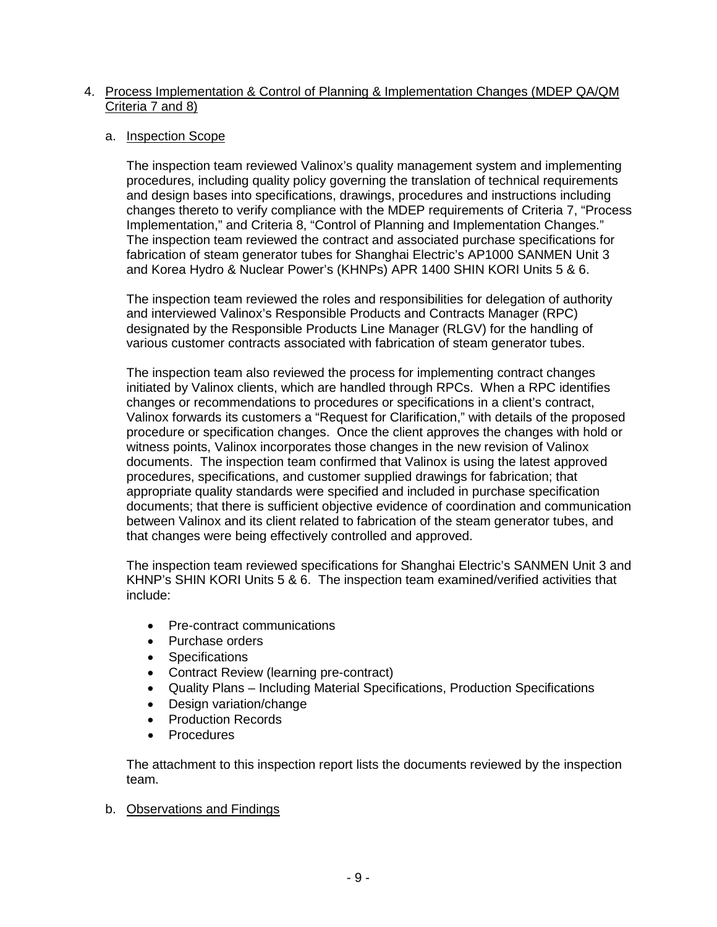#### 4. Process Implementation & Control of Planning & Implementation Changes (MDEP QA/QM Criteria 7 and 8)

## a. Inspection Scope

The inspection team reviewed Valinox's quality management system and implementing procedures, including quality policy governing the translation of technical requirements and design bases into specifications, drawings, procedures and instructions including changes thereto to verify compliance with the MDEP requirements of Criteria 7, "Process Implementation," and Criteria 8, "Control of Planning and Implementation Changes." The inspection team reviewed the contract and associated purchase specifications for fabrication of steam generator tubes for Shanghai Electric's AP1000 SANMEN Unit 3 and Korea Hydro & Nuclear Power's (KHNPs) APR 1400 SHIN KORI Units 5 & 6.

The inspection team reviewed the roles and responsibilities for delegation of authority and interviewed Valinox's Responsible Products and Contracts Manager (RPC) designated by the Responsible Products Line Manager (RLGV) for the handling of various customer contracts associated with fabrication of steam generator tubes.

The inspection team also reviewed the process for implementing contract changes initiated by Valinox clients, which are handled through RPCs. When a RPC identifies changes or recommendations to procedures or specifications in a client's contract, Valinox forwards its customers a "Request for Clarification," with details of the proposed procedure or specification changes. Once the client approves the changes with hold or witness points, Valinox incorporates those changes in the new revision of Valinox documents. The inspection team confirmed that Valinox is using the latest approved procedures, specifications, and customer supplied drawings for fabrication; that appropriate quality standards were specified and included in purchase specification documents; that there is sufficient objective evidence of coordination and communication between Valinox and its client related to fabrication of the steam generator tubes, and that changes were being effectively controlled and approved.

The inspection team reviewed specifications for Shanghai Electric's SANMEN Unit 3 and KHNP's SHIN KORI Units 5 & 6. The inspection team examined/verified activities that include:

- Pre-contract communications
- Purchase orders
- Specifications
- Contract Review (learning pre-contract)
- Quality Plans Including Material Specifications, Production Specifications
- Design variation/change
- Production Records
- **Procedures**

The attachment to this inspection report lists the documents reviewed by the inspection team.

b. Observations and Findings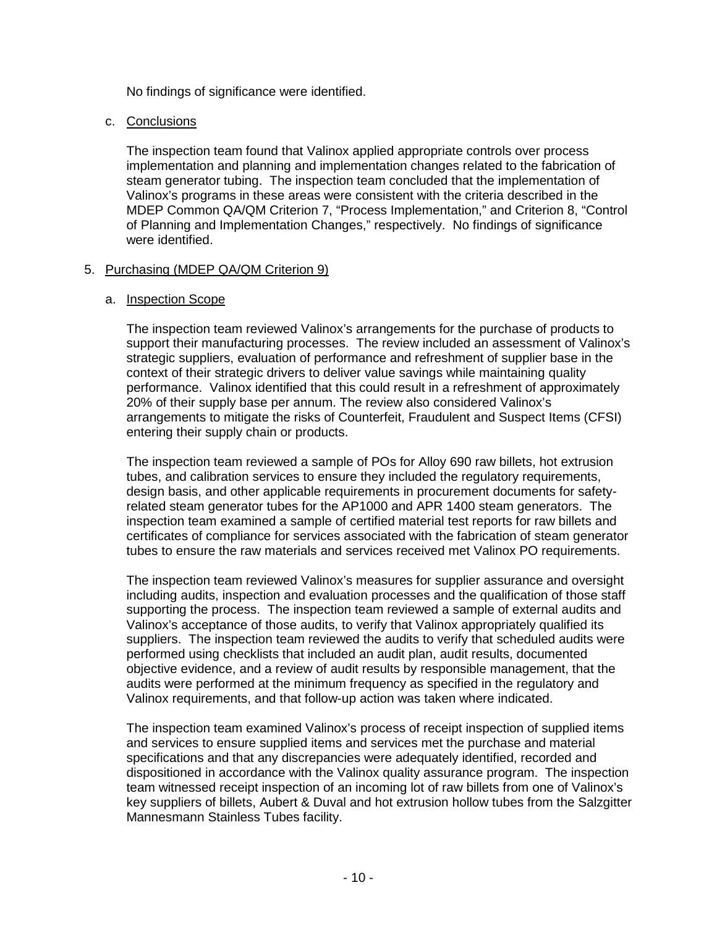No findings of significance were identified.

#### c. Conclusions

The inspection team found that Valinox applied appropriate controls over process implementation and planning and implementation changes related to the fabrication of steam generator tubing. The inspection team concluded that the implementation of Valinox's programs in these areas were consistent with the criteria described in the MDEP Common QA/QM Criterion 7, "Process Implementation," and Criterion 8, "Control of Planning and Implementation Changes," respectively. No findings of significance were identified.

#### 5. Purchasing (MDEP QA/QM Criterion 9)

#### a. Inspection Scope

The inspection team reviewed Valinox's arrangements for the purchase of products to support their manufacturing processes. The review included an assessment of Valinox's strategic suppliers, evaluation of performance and refreshment of supplier base in the context of their strategic drivers to deliver value savings while maintaining quality performance. Valinox identified that this could result in a refreshment of approximately 20% of their supply base per annum. The review also considered Valinox's arrangements to mitigate the risks of Counterfeit, Fraudulent and Suspect Items (CFSI) entering their supply chain or products.

The inspection team reviewed a sample of POs for Alloy 690 raw billets, hot extrusion tubes, and calibration services to ensure they included the regulatory requirements, design basis, and other applicable requirements in procurement documents for safetyrelated steam generator tubes for the AP1000 and APR 1400 steam generators. The inspection team examined a sample of certified material test reports for raw billets and certificates of compliance for services associated with the fabrication of steam generator tubes to ensure the raw materials and services received met Valinox PO requirements.

The inspection team reviewed Valinox's measures for supplier assurance and oversight including audits, inspection and evaluation processes and the qualification of those staff supporting the process. The inspection team reviewed a sample of external audits and Valinox's acceptance of those audits, to verify that Valinox appropriately qualified its suppliers. The inspection team reviewed the audits to verify that scheduled audits were performed using checklists that included an audit plan, audit results, documented objective evidence, and a review of audit results by responsible management, that the audits were performed at the minimum frequency as specified in the regulatory and Valinox requirements, and that follow-up action was taken where indicated.

The inspection team examined Valinox's process of receipt inspection of supplied items and services to ensure supplied items and services met the purchase and material specifications and that any discrepancies were adequately identified, recorded and dispositioned in accordance with the Valinox quality assurance program. The inspection team witnessed receipt inspection of an incoming lot of raw billets from one of Valinox's key suppliers of billets, Aubert & Duval and hot extrusion hollow tubes from the Salzgitter Mannesmann Stainless Tubes facility.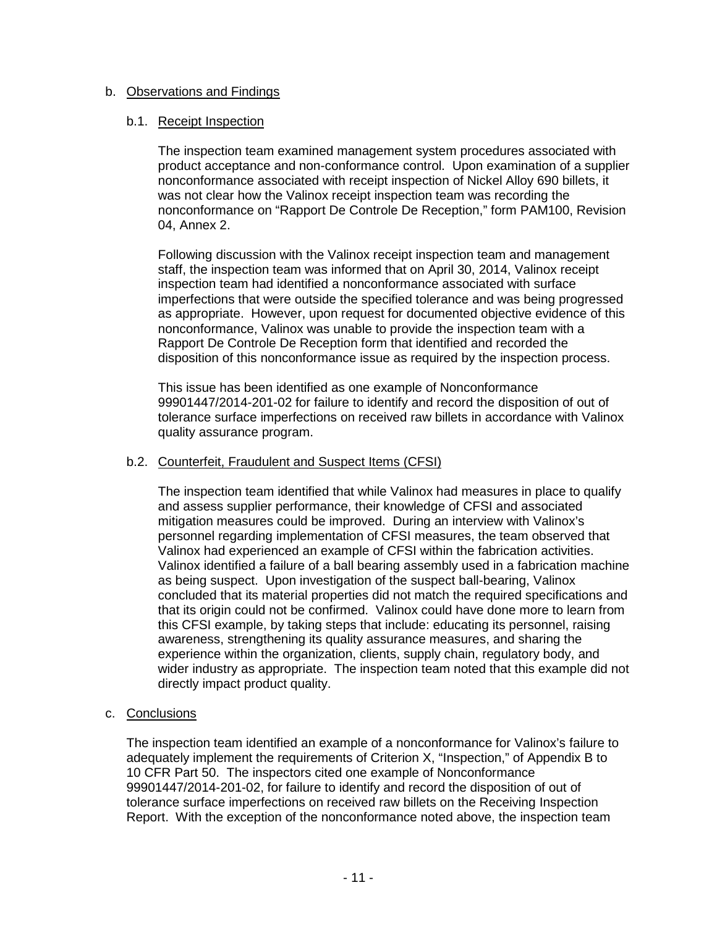## b. Observations and Findings

## b.1. Receipt Inspection

The inspection team examined management system procedures associated with product acceptance and non-conformance control. Upon examination of a supplier nonconformance associated with receipt inspection of Nickel Alloy 690 billets, it was not clear how the Valinox receipt inspection team was recording the nonconformance on "Rapport De Controle De Reception," form PAM100, Revision 04, Annex 2.

Following discussion with the Valinox receipt inspection team and management staff, the inspection team was informed that on April 30, 2014, Valinox receipt inspection team had identified a nonconformance associated with surface imperfections that were outside the specified tolerance and was being progressed as appropriate. However, upon request for documented objective evidence of this nonconformance, Valinox was unable to provide the inspection team with a Rapport De Controle De Reception form that identified and recorded the disposition of this nonconformance issue as required by the inspection process.

This issue has been identified as one example of Nonconformance 99901447/2014-201-02 for failure to identify and record the disposition of out of tolerance surface imperfections on received raw billets in accordance with Valinox quality assurance program.

## b.2. Counterfeit, Fraudulent and Suspect Items (CFSI)

The inspection team identified that while Valinox had measures in place to qualify and assess supplier performance, their knowledge of CFSI and associated mitigation measures could be improved. During an interview with Valinox's personnel regarding implementation of CFSI measures, the team observed that Valinox had experienced an example of CFSI within the fabrication activities. Valinox identified a failure of a ball bearing assembly used in a fabrication machine as being suspect. Upon investigation of the suspect ball-bearing, Valinox concluded that its material properties did not match the required specifications and that its origin could not be confirmed. Valinox could have done more to learn from this CFSI example, by taking steps that include: educating its personnel, raising awareness, strengthening its quality assurance measures, and sharing the experience within the organization, clients, supply chain, regulatory body, and wider industry as appropriate. The inspection team noted that this example did not directly impact product quality.

## c. Conclusions

The inspection team identified an example of a nonconformance for Valinox's failure to adequately implement the requirements of Criterion X, "Inspection," of Appendix B to 10 CFR Part 50. The inspectors cited one example of Nonconformance 99901447/2014-201-02, for failure to identify and record the disposition of out of tolerance surface imperfections on received raw billets on the Receiving Inspection Report. With the exception of the nonconformance noted above, the inspection team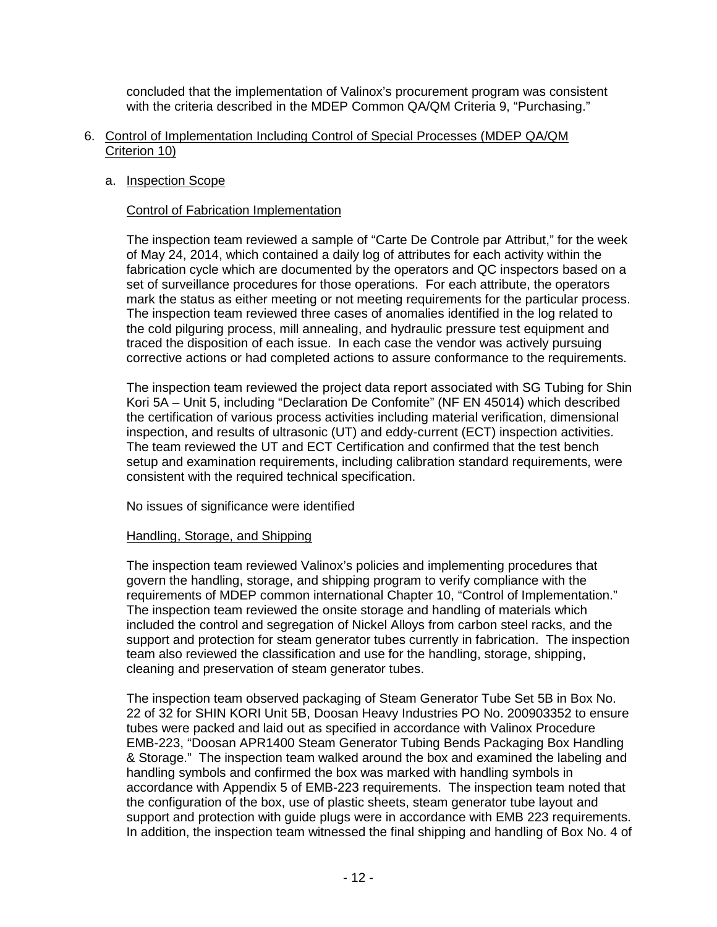concluded that the implementation of Valinox's procurement program was consistent with the criteria described in the MDEP Common QA/QM Criteria 9, "Purchasing."

#### 6. Control of Implementation Including Control of Special Processes (MDEP QA/QM Criterion 10)

## a. Inspection Scope

#### Control of Fabrication Implementation

The inspection team reviewed a sample of "Carte De Controle par Attribut," for the week of May 24, 2014, which contained a daily log of attributes for each activity within the fabrication cycle which are documented by the operators and QC inspectors based on a set of surveillance procedures for those operations. For each attribute, the operators mark the status as either meeting or not meeting requirements for the particular process. The inspection team reviewed three cases of anomalies identified in the log related to the cold pilguring process, mill annealing, and hydraulic pressure test equipment and traced the disposition of each issue. In each case the vendor was actively pursuing corrective actions or had completed actions to assure conformance to the requirements.

The inspection team reviewed the project data report associated with SG Tubing for Shin Kori 5A – Unit 5, including "Declaration De Confomite" (NF EN 45014) which described the certification of various process activities including material verification, dimensional inspection, and results of ultrasonic (UT) and eddy-current (ECT) inspection activities. The team reviewed the UT and ECT Certification and confirmed that the test bench setup and examination requirements, including calibration standard requirements, were consistent with the required technical specification.

No issues of significance were identified

#### Handling, Storage, and Shipping

The inspection team reviewed Valinox's policies and implementing procedures that govern the handling, storage, and shipping program to verify compliance with the requirements of MDEP common international Chapter 10, "Control of Implementation." The inspection team reviewed the onsite storage and handling of materials which included the control and segregation of Nickel Alloys from carbon steel racks, and the support and protection for steam generator tubes currently in fabrication. The inspection team also reviewed the classification and use for the handling, storage, shipping, cleaning and preservation of steam generator tubes.

The inspection team observed packaging of Steam Generator Tube Set 5B in Box No. 22 of 32 for SHIN KORI Unit 5B, Doosan Heavy Industries PO No. 200903352 to ensure tubes were packed and laid out as specified in accordance with Valinox Procedure EMB-223, "Doosan APR1400 Steam Generator Tubing Bends Packaging Box Handling & Storage." The inspection team walked around the box and examined the labeling and handling symbols and confirmed the box was marked with handling symbols in accordance with Appendix 5 of EMB-223 requirements. The inspection team noted that the configuration of the box, use of plastic sheets, steam generator tube layout and support and protection with guide plugs were in accordance with EMB 223 requirements. In addition, the inspection team witnessed the final shipping and handling of Box No. 4 of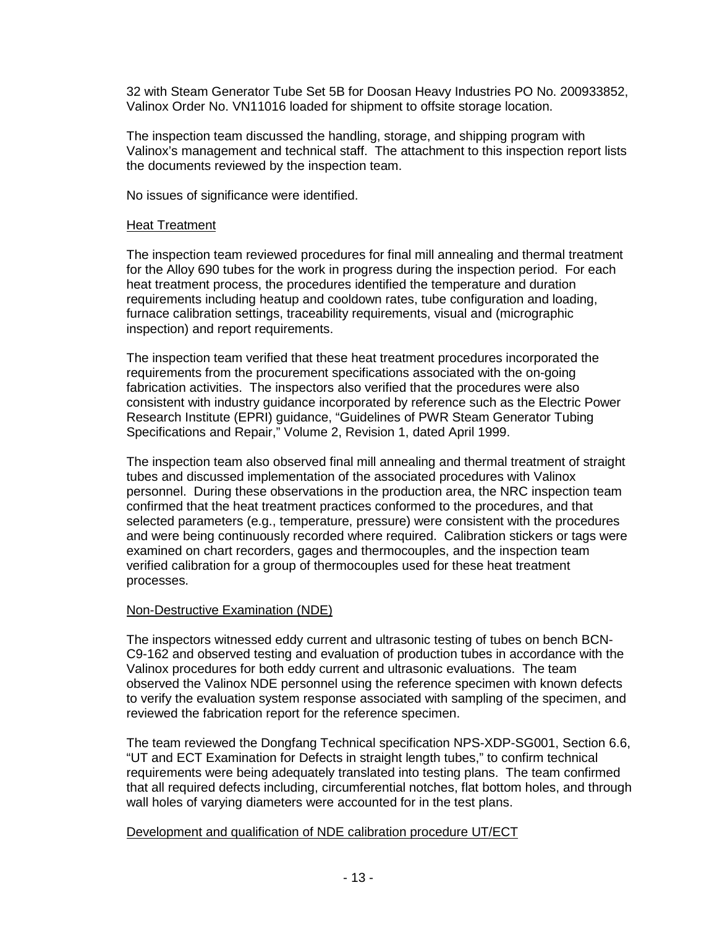32 with Steam Generator Tube Set 5B for Doosan Heavy Industries PO No. 200933852, Valinox Order No. VN11016 loaded for shipment to offsite storage location.

The inspection team discussed the handling, storage, and shipping program with Valinox's management and technical staff. The attachment to this inspection report lists the documents reviewed by the inspection team.

No issues of significance were identified.

#### Heat Treatment

The inspection team reviewed procedures for final mill annealing and thermal treatment for the Alloy 690 tubes for the work in progress during the inspection period. For each heat treatment process, the procedures identified the temperature and duration requirements including heatup and cooldown rates, tube configuration and loading, furnace calibration settings, traceability requirements, visual and (micrographic inspection) and report requirements.

The inspection team verified that these heat treatment procedures incorporated the requirements from the procurement specifications associated with the on-going fabrication activities. The inspectors also verified that the procedures were also consistent with industry guidance incorporated by reference such as the Electric Power Research Institute (EPRI) guidance, "Guidelines of PWR Steam Generator Tubing Specifications and Repair," Volume 2, Revision 1, dated April 1999.

The inspection team also observed final mill annealing and thermal treatment of straight tubes and discussed implementation of the associated procedures with Valinox personnel. During these observations in the production area, the NRC inspection team confirmed that the heat treatment practices conformed to the procedures, and that selected parameters (e.g., temperature, pressure) were consistent with the procedures and were being continuously recorded where required. Calibration stickers or tags were examined on chart recorders, gages and thermocouples, and the inspection team verified calibration for a group of thermocouples used for these heat treatment processes.

## Non-Destructive Examination (NDE)

The inspectors witnessed eddy current and ultrasonic testing of tubes on bench BCN-C9-162 and observed testing and evaluation of production tubes in accordance with the Valinox procedures for both eddy current and ultrasonic evaluations. The team observed the Valinox NDE personnel using the reference specimen with known defects to verify the evaluation system response associated with sampling of the specimen, and reviewed the fabrication report for the reference specimen.

The team reviewed the Dongfang Technical specification NPS-XDP-SG001, Section 6.6, "UT and ECT Examination for Defects in straight length tubes," to confirm technical requirements were being adequately translated into testing plans. The team confirmed that all required defects including, circumferential notches, flat bottom holes, and through wall holes of varying diameters were accounted for in the test plans.

#### Development and qualification of NDE calibration procedure UT/ECT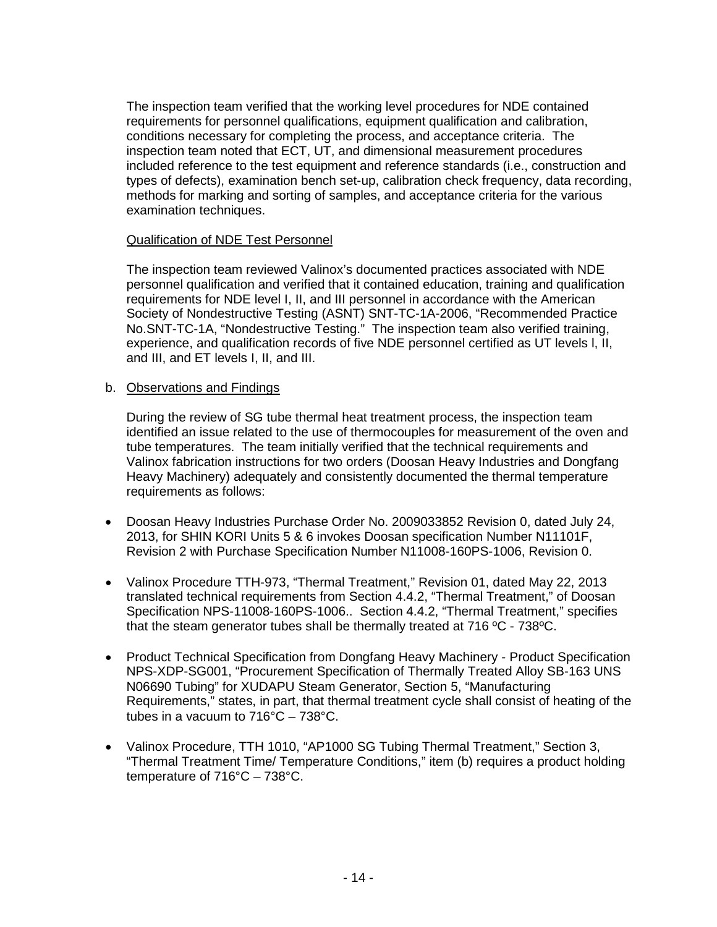The inspection team verified that the working level procedures for NDE contained requirements for personnel qualifications, equipment qualification and calibration, conditions necessary for completing the process, and acceptance criteria. The inspection team noted that ECT, UT, and dimensional measurement procedures included reference to the test equipment and reference standards (i.e., construction and types of defects), examination bench set-up, calibration check frequency, data recording, methods for marking and sorting of samples, and acceptance criteria for the various examination techniques.

## Qualification of NDE Test Personnel

The inspection team reviewed Valinox's documented practices associated with NDE personnel qualification and verified that it contained education, training and qualification requirements for NDE level I, II, and III personnel in accordance with the American Society of Nondestructive Testing (ASNT) SNT-TC-1A-2006, "Recommended Practice No.SNT-TC-1A, "Nondestructive Testing." The inspection team also verified training, experience, and qualification records of five NDE personnel certified as UT levels l, II, and III, and ET levels I, II, and III.

b. Observations and Findings

During the review of SG tube thermal heat treatment process, the inspection team identified an issue related to the use of thermocouples for measurement of the oven and tube temperatures. The team initially verified that the technical requirements and Valinox fabrication instructions for two orders (Doosan Heavy Industries and Dongfang Heavy Machinery) adequately and consistently documented the thermal temperature requirements as follows:

- Doosan Heavy Industries Purchase Order No. 2009033852 Revision 0, dated July 24, 2013, for SHIN KORI Units 5 & 6 invokes Doosan specification Number N11101F, Revision 2 with Purchase Specification Number N11008-160PS-1006, Revision 0.
- Valinox Procedure TTH-973, "Thermal Treatment," Revision 01, dated May 22, 2013 translated technical requirements from Section 4.4.2, "Thermal Treatment," of Doosan Specification NPS-11008-160PS-1006.. Section 4.4.2, "Thermal Treatment," specifies that the steam generator tubes shall be thermally treated at  $716\,^{\circ}$ C -  $738\,^{\circ}$ C.
- Product Technical Specification from Dongfang Heavy Machinery Product Specification NPS-XDP-SG001, "Procurement Specification of Thermally Treated Alloy SB-163 UNS N06690 Tubing" for XUDAPU Steam Generator, Section 5, "Manufacturing Requirements," states, in part, that thermal treatment cycle shall consist of heating of the tubes in a vacuum to 716°C – 738°C.
- Valinox Procedure, TTH 1010, "AP1000 SG Tubing Thermal Treatment," Section 3, "Thermal Treatment Time/ Temperature Conditions," item (b) requires a product holding temperature of 716°C – 738°C.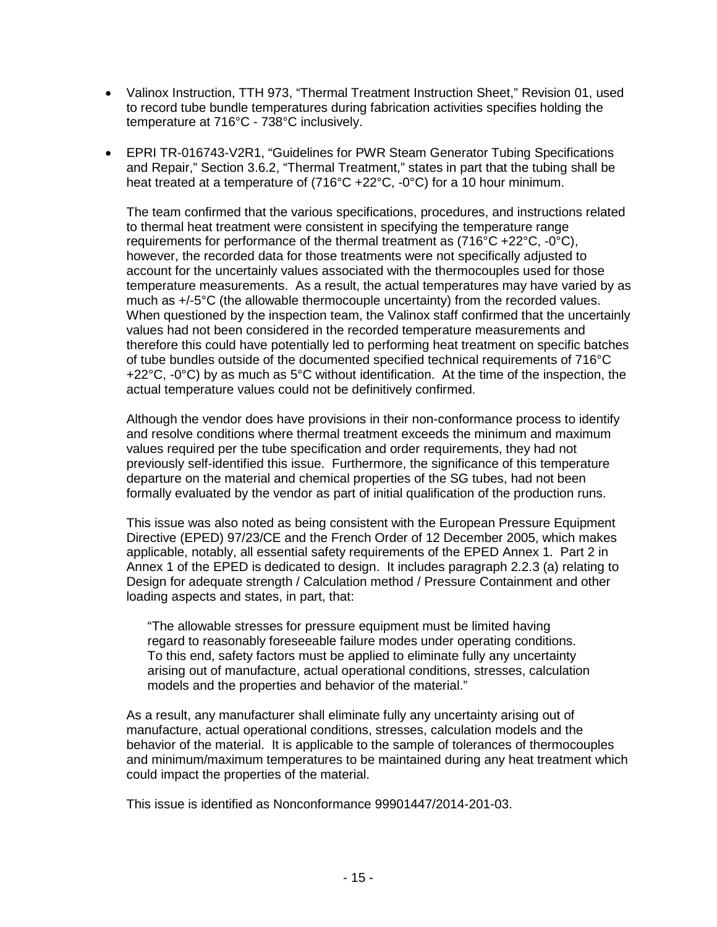- Valinox Instruction, TTH 973, "Thermal Treatment Instruction Sheet," Revision 01, used to record tube bundle temperatures during fabrication activities specifies holding the temperature at 716°C - 738°C inclusively.
- EPRI TR-016743-V2R1, "Guidelines for PWR Steam Generator Tubing Specifications and Repair," Section 3.6.2, "Thermal Treatment," states in part that the tubing shall be heat treated at a temperature of (716°C +22°C, -0°C) for a 10 hour minimum.

The team confirmed that the various specifications, procedures, and instructions related to thermal heat treatment were consistent in specifying the temperature range requirements for performance of the thermal treatment as (716°C +22°C, -0°C), however, the recorded data for those treatments were not specifically adjusted to account for the uncertainly values associated with the thermocouples used for those temperature measurements. As a result, the actual temperatures may have varied by as much as +/-5°C (the allowable thermocouple uncertainty) from the recorded values. When questioned by the inspection team, the Valinox staff confirmed that the uncertainly values had not been considered in the recorded temperature measurements and therefore this could have potentially led to performing heat treatment on specific batches of tube bundles outside of the documented specified technical requirements of 716°C +22 $\degree$ C, -0 $\degree$ C) by as much as 5 $\degree$ C without identification. At the time of the inspection, the actual temperature values could not be definitively confirmed.

Although the vendor does have provisions in their non-conformance process to identify and resolve conditions where thermal treatment exceeds the minimum and maximum values required per the tube specification and order requirements, they had not previously self-identified this issue. Furthermore, the significance of this temperature departure on the material and chemical properties of the SG tubes, had not been formally evaluated by the vendor as part of initial qualification of the production runs.

This issue was also noted as being consistent with the European Pressure Equipment Directive (EPED) 97/23/CE and the French Order of 12 December 2005, which makes applicable, notably, all essential safety requirements of the EPED Annex 1. Part 2 in Annex 1 of the EPED is dedicated to design. It includes paragraph 2.2.3 (a) relating to Design for adequate strength / Calculation method / Pressure Containment and other loading aspects and states, in part, that:

"The allowable stresses for pressure equipment must be limited having regard to reasonably foreseeable failure modes under operating conditions. To this end, safety factors must be applied to eliminate fully any uncertainty arising out of manufacture, actual operational conditions, stresses, calculation models and the properties and behavior of the material."

As a result, any manufacturer shall eliminate fully any uncertainty arising out of manufacture, actual operational conditions, stresses, calculation models and the behavior of the material. It is applicable to the sample of tolerances of thermocouples and minimum/maximum temperatures to be maintained during any heat treatment which could impact the properties of the material.

This issue is identified as Nonconformance 99901447/2014-201-03.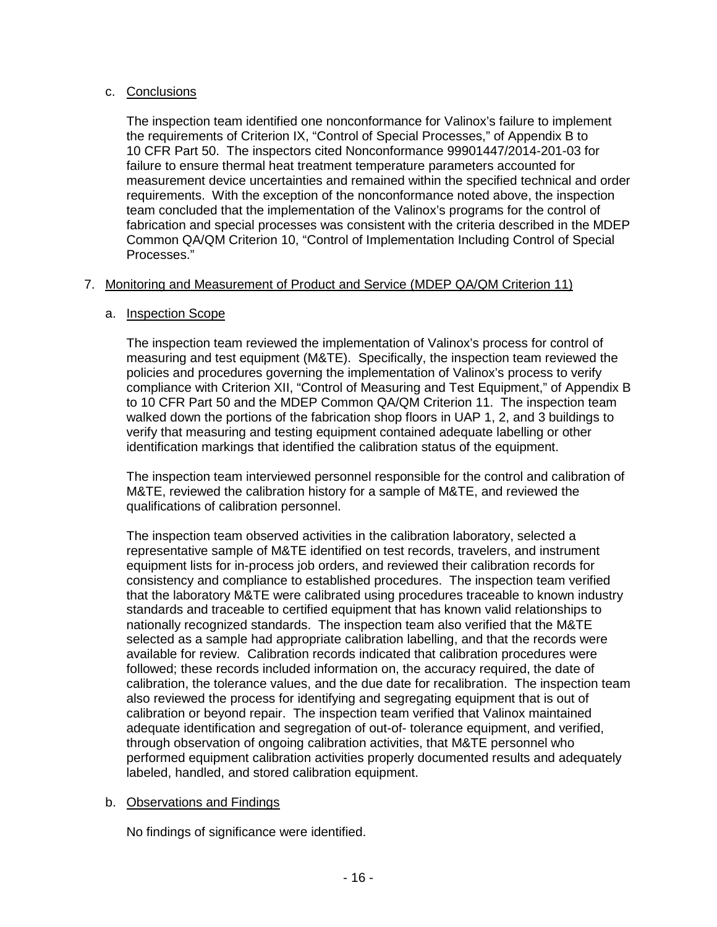## c. Conclusions

The inspection team identified one nonconformance for Valinox's failure to implement the requirements of Criterion IX, "Control of Special Processes," of Appendix B to 10 CFR Part 50. The inspectors cited Nonconformance 99901447/2014-201-03 for failure to ensure thermal heat treatment temperature parameters accounted for measurement device uncertainties and remained within the specified technical and order requirements. With the exception of the nonconformance noted above, the inspection team concluded that the implementation of the Valinox's programs for the control of fabrication and special processes was consistent with the criteria described in the MDEP Common QA/QM Criterion 10, "Control of Implementation Including Control of Special Processes."

## 7. Monitoring and Measurement of Product and Service (MDEP QA/QM Criterion 11)

## a. Inspection Scope

The inspection team reviewed the implementation of Valinox's process for control of measuring and test equipment (M&TE). Specifically, the inspection team reviewed the policies and procedures governing the implementation of Valinox's process to verify compliance with Criterion XII, "Control of Measuring and Test Equipment," of Appendix B to 10 CFR Part 50 and the MDEP Common QA/QM Criterion 11. The inspection team walked down the portions of the fabrication shop floors in UAP 1, 2, and 3 buildings to verify that measuring and testing equipment contained adequate labelling or other identification markings that identified the calibration status of the equipment.

The inspection team interviewed personnel responsible for the control and calibration of M&TE, reviewed the calibration history for a sample of M&TE, and reviewed the qualifications of calibration personnel.

The inspection team observed activities in the calibration laboratory, selected a representative sample of M&TE identified on test records, travelers, and instrument equipment lists for in-process job orders, and reviewed their calibration records for consistency and compliance to established procedures. The inspection team verified that the laboratory M&TE were calibrated using procedures traceable to known industry standards and traceable to certified equipment that has known valid relationships to nationally recognized standards. The inspection team also verified that the M&TE selected as a sample had appropriate calibration labelling, and that the records were available for review. Calibration records indicated that calibration procedures were followed; these records included information on, the accuracy required, the date of calibration, the tolerance values, and the due date for recalibration. The inspection team also reviewed the process for identifying and segregating equipment that is out of calibration or beyond repair. The inspection team verified that Valinox maintained adequate identification and segregation of out-of- tolerance equipment, and verified, through observation of ongoing calibration activities, that M&TE personnel who performed equipment calibration activities properly documented results and adequately labeled, handled, and stored calibration equipment.

## b. Observations and Findings

No findings of significance were identified.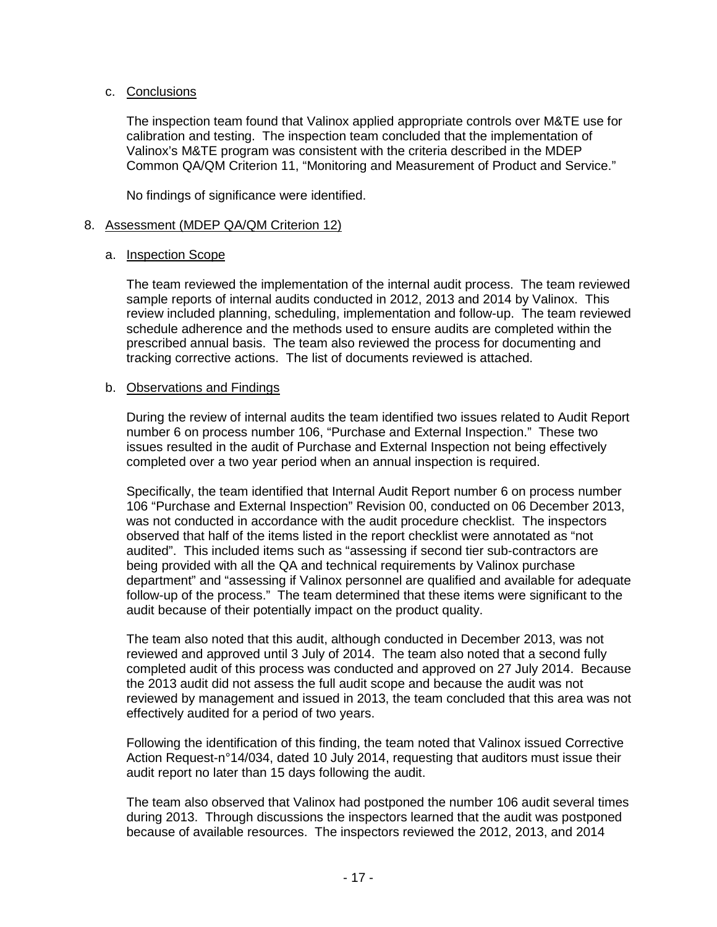## c. Conclusions

The inspection team found that Valinox applied appropriate controls over M&TE use for calibration and testing. The inspection team concluded that the implementation of Valinox's M&TE program was consistent with the criteria described in the MDEP Common QA/QM Criterion 11, "Monitoring and Measurement of Product and Service."

No findings of significance were identified.

## 8. Assessment (MDEP QA/QM Criterion 12)

## a. Inspection Scope

The team reviewed the implementation of the internal audit process. The team reviewed sample reports of internal audits conducted in 2012, 2013 and 2014 by Valinox. This review included planning, scheduling, implementation and follow-up. The team reviewed schedule adherence and the methods used to ensure audits are completed within the prescribed annual basis. The team also reviewed the process for documenting and tracking corrective actions. The list of documents reviewed is attached.

#### b. Observations and Findings

During the review of internal audits the team identified two issues related to Audit Report number 6 on process number 106, "Purchase and External Inspection." These two issues resulted in the audit of Purchase and External Inspection not being effectively completed over a two year period when an annual inspection is required.

Specifically, the team identified that Internal Audit Report number 6 on process number 106 "Purchase and External Inspection" Revision 00, conducted on 06 December 2013, was not conducted in accordance with the audit procedure checklist. The inspectors observed that half of the items listed in the report checklist were annotated as "not audited". This included items such as "assessing if second tier sub-contractors are being provided with all the QA and technical requirements by Valinox purchase department" and "assessing if Valinox personnel are qualified and available for adequate follow-up of the process." The team determined that these items were significant to the audit because of their potentially impact on the product quality.

The team also noted that this audit, although conducted in December 2013, was not reviewed and approved until 3 July of 2014. The team also noted that a second fully completed audit of this process was conducted and approved on 27 July 2014. Because the 2013 audit did not assess the full audit scope and because the audit was not reviewed by management and issued in 2013, the team concluded that this area was not effectively audited for a period of two years.

Following the identification of this finding, the team noted that Valinox issued Corrective Action Request-n°14/034, dated 10 July 2014, requesting that auditors must issue their audit report no later than 15 days following the audit.

The team also observed that Valinox had postponed the number 106 audit several times during 2013. Through discussions the inspectors learned that the audit was postponed because of available resources. The inspectors reviewed the 2012, 2013, and 2014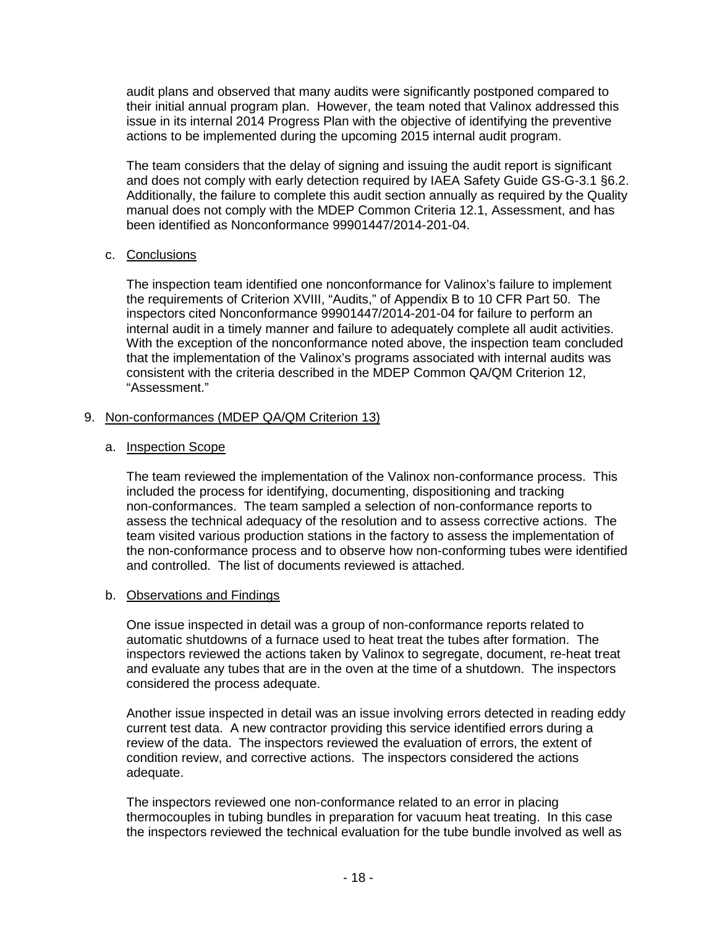audit plans and observed that many audits were significantly postponed compared to their initial annual program plan. However, the team noted that Valinox addressed this issue in its internal 2014 Progress Plan with the objective of identifying the preventive actions to be implemented during the upcoming 2015 internal audit program.

The team considers that the delay of signing and issuing the audit report is significant and does not comply with early detection required by IAEA Safety Guide GS-G-3.1 §6.2. Additionally, the failure to complete this audit section annually as required by the Quality manual does not comply with the MDEP Common Criteria 12.1, Assessment, and has been identified as Nonconformance 99901447/2014-201-04.

#### c. Conclusions

The inspection team identified one nonconformance for Valinox's failure to implement the requirements of Criterion XVIII, "Audits," of Appendix B to 10 CFR Part 50. The inspectors cited Nonconformance 99901447/2014-201-04 for failure to perform an internal audit in a timely manner and failure to adequately complete all audit activities. With the exception of the nonconformance noted above, the inspection team concluded that the implementation of the Valinox's programs associated with internal audits was consistent with the criteria described in the MDEP Common QA/QM Criterion 12, "Assessment."

## 9. Non-conformances (MDEP QA/QM Criterion 13)

#### a. Inspection Scope

The team reviewed the implementation of the Valinox non-conformance process. This included the process for identifying, documenting, dispositioning and tracking non-conformances. The team sampled a selection of non-conformance reports to assess the technical adequacy of the resolution and to assess corrective actions. The team visited various production stations in the factory to assess the implementation of the non-conformance process and to observe how non-conforming tubes were identified and controlled. The list of documents reviewed is attached.

#### b. Observations and Findings

One issue inspected in detail was a group of non-conformance reports related to automatic shutdowns of a furnace used to heat treat the tubes after formation. The inspectors reviewed the actions taken by Valinox to segregate, document, re-heat treat and evaluate any tubes that are in the oven at the time of a shutdown. The inspectors considered the process adequate.

Another issue inspected in detail was an issue involving errors detected in reading eddy current test data. A new contractor providing this service identified errors during a review of the data. The inspectors reviewed the evaluation of errors, the extent of condition review, and corrective actions. The inspectors considered the actions adequate.

The inspectors reviewed one non-conformance related to an error in placing thermocouples in tubing bundles in preparation for vacuum heat treating. In this case the inspectors reviewed the technical evaluation for the tube bundle involved as well as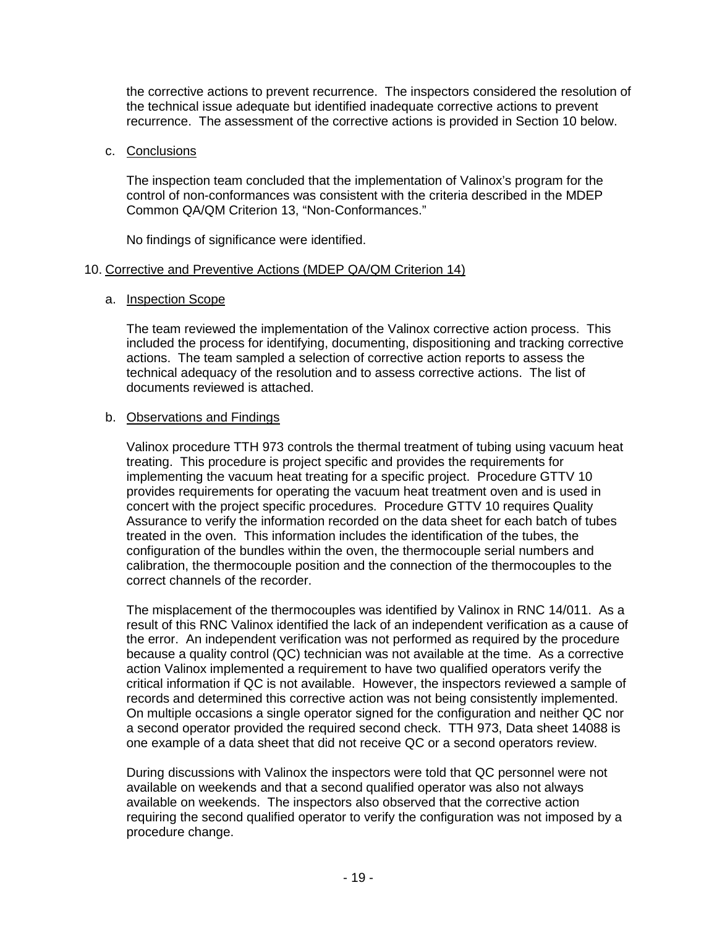the corrective actions to prevent recurrence. The inspectors considered the resolution of the technical issue adequate but identified inadequate corrective actions to prevent recurrence. The assessment of the corrective actions is provided in Section 10 below.

#### c. Conclusions

The inspection team concluded that the implementation of Valinox's program for the control of non-conformances was consistent with the criteria described in the MDEP Common QA/QM Criterion 13, "Non-Conformances."

No findings of significance were identified.

#### 10. Corrective and Preventive Actions (MDEP QA/QM Criterion 14)

#### a. Inspection Scope

The team reviewed the implementation of the Valinox corrective action process. This included the process for identifying, documenting, dispositioning and tracking corrective actions. The team sampled a selection of corrective action reports to assess the technical adequacy of the resolution and to assess corrective actions. The list of documents reviewed is attached.

#### b. Observations and Findings

Valinox procedure TTH 973 controls the thermal treatment of tubing using vacuum heat treating. This procedure is project specific and provides the requirements for implementing the vacuum heat treating for a specific project. Procedure GTTV 10 provides requirements for operating the vacuum heat treatment oven and is used in concert with the project specific procedures. Procedure GTTV 10 requires Quality Assurance to verify the information recorded on the data sheet for each batch of tubes treated in the oven. This information includes the identification of the tubes, the configuration of the bundles within the oven, the thermocouple serial numbers and calibration, the thermocouple position and the connection of the thermocouples to the correct channels of the recorder.

The misplacement of the thermocouples was identified by Valinox in RNC 14/011. As a result of this RNC Valinox identified the lack of an independent verification as a cause of the error. An independent verification was not performed as required by the procedure because a quality control (QC) technician was not available at the time. As a corrective action Valinox implemented a requirement to have two qualified operators verify the critical information if QC is not available. However, the inspectors reviewed a sample of records and determined this corrective action was not being consistently implemented. On multiple occasions a single operator signed for the configuration and neither QC nor a second operator provided the required second check. TTH 973, Data sheet 14088 is one example of a data sheet that did not receive QC or a second operators review.

During discussions with Valinox the inspectors were told that QC personnel were not available on weekends and that a second qualified operator was also not always available on weekends. The inspectors also observed that the corrective action requiring the second qualified operator to verify the configuration was not imposed by a procedure change.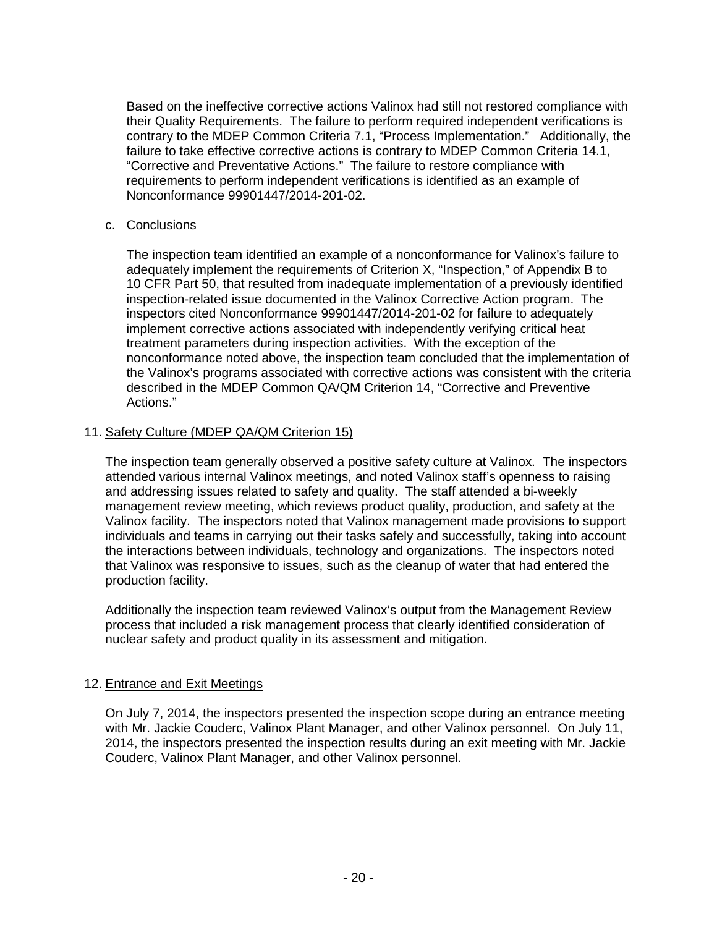Based on the ineffective corrective actions Valinox had still not restored compliance with their Quality Requirements. The failure to perform required independent verifications is contrary to the MDEP Common Criteria 7.1, "Process Implementation." Additionally, the failure to take effective corrective actions is contrary to MDEP Common Criteria 14.1, "Corrective and Preventative Actions." The failure to restore compliance with requirements to perform independent verifications is identified as an example of Nonconformance 99901447/2014-201-02.

#### c. Conclusions

The inspection team identified an example of a nonconformance for Valinox's failure to adequately implement the requirements of Criterion X, "Inspection," of Appendix B to 10 CFR Part 50, that resulted from inadequate implementation of a previously identified inspection-related issue documented in the Valinox Corrective Action program. The inspectors cited Nonconformance 99901447/2014-201-02 for failure to adequately implement corrective actions associated with independently verifying critical heat treatment parameters during inspection activities. With the exception of the nonconformance noted above, the inspection team concluded that the implementation of the Valinox's programs associated with corrective actions was consistent with the criteria described in the MDEP Common QA/QM Criterion 14, "Corrective and Preventive Actions."

## 11. Safety Culture (MDEP QA/QM Criterion 15)

The inspection team generally observed a positive safety culture at Valinox. The inspectors attended various internal Valinox meetings, and noted Valinox staff's openness to raising and addressing issues related to safety and quality. The staff attended a bi-weekly management review meeting, which reviews product quality, production, and safety at the Valinox facility. The inspectors noted that Valinox management made provisions to support individuals and teams in carrying out their tasks safely and successfully, taking into account the interactions between individuals, technology and organizations. The inspectors noted that Valinox was responsive to issues, such as the cleanup of water that had entered the production facility.

Additionally the inspection team reviewed Valinox's output from the Management Review process that included a risk management process that clearly identified consideration of nuclear safety and product quality in its assessment and mitigation.

## 12. Entrance and Exit Meetings

On July 7, 2014, the inspectors presented the inspection scope during an entrance meeting with Mr. Jackie Couderc, Valinox Plant Manager, and other Valinox personnel. On July 11, 2014, the inspectors presented the inspection results during an exit meeting with Mr. Jackie Couderc, Valinox Plant Manager, and other Valinox personnel.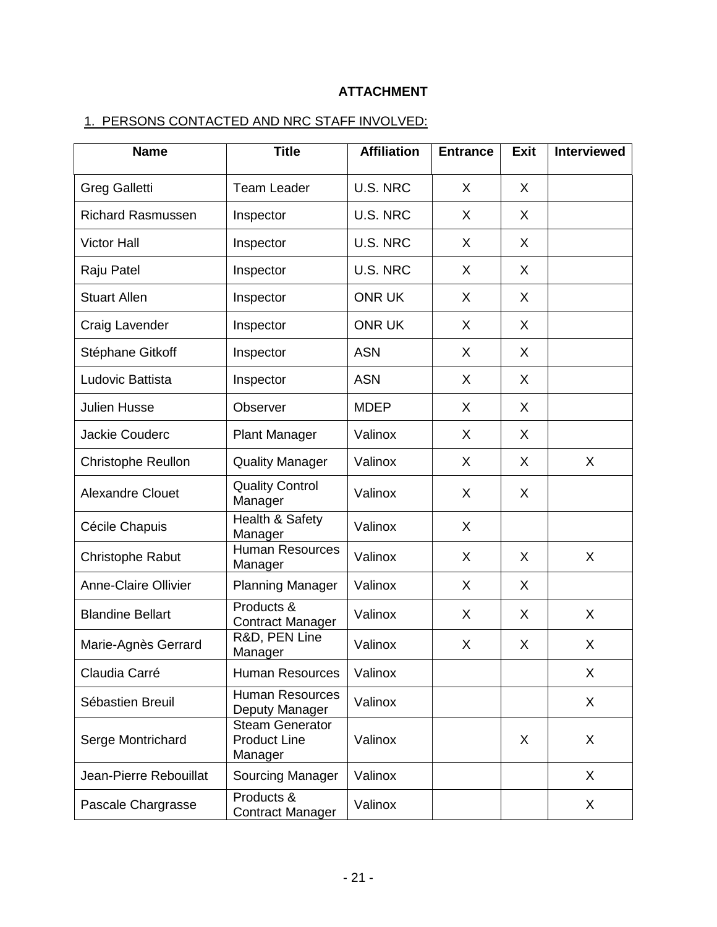# **ATTACHMENT**

# 1. PERSONS CONTACTED AND NRC STAFF INVOLVED:

| <b>Name</b>                 | <b>Title</b>                                             | <b>Affiliation</b> | <b>Entrance</b> | <b>Exit</b> | <b>Interviewed</b> |
|-----------------------------|----------------------------------------------------------|--------------------|-----------------|-------------|--------------------|
| <b>Greg Galletti</b>        | <b>Team Leader</b>                                       | U.S. NRC           | X               | X           |                    |
| <b>Richard Rasmussen</b>    | Inspector                                                | U.S. NRC           | X               | X           |                    |
| <b>Victor Hall</b>          | Inspector                                                | U.S. NRC           | X               | X           |                    |
| Raju Patel                  | Inspector                                                | U.S. NRC           | X               | X           |                    |
| <b>Stuart Allen</b>         | Inspector                                                | <b>ONR UK</b>      | X               | X           |                    |
| Craig Lavender              | Inspector                                                | <b>ONR UK</b>      | X               | X           |                    |
| Stéphane Gitkoff            | Inspector                                                | <b>ASN</b>         | X               | X           |                    |
| Ludovic Battista            | Inspector                                                | <b>ASN</b>         | X               | X           |                    |
| <b>Julien Husse</b>         | Observer                                                 | <b>MDEP</b>        | X               | X           |                    |
| <b>Jackie Couderc</b>       | <b>Plant Manager</b>                                     | Valinox            | X               | X           |                    |
| <b>Christophe Reullon</b>   | <b>Quality Manager</b>                                   | Valinox            | X               | X           | X                  |
| <b>Alexandre Clouet</b>     | <b>Quality Control</b><br>Manager                        | Valinox            | X               | X           |                    |
| Cécile Chapuis              | Health & Safety<br>Manager                               | Valinox            | X               |             |                    |
| Christophe Rabut            | <b>Human Resources</b><br>Manager                        | Valinox            | X               | X           | X                  |
| <b>Anne-Claire Ollivier</b> | <b>Planning Manager</b>                                  | Valinox            | X               | X           |                    |
| <b>Blandine Bellart</b>     | Products &<br><b>Contract Manager</b>                    | Valinox            | X               | X           | X                  |
| Marie-Agnès Gerrard         | R&D, PEN Line<br>Manager                                 | Valinox            | X               | X           | X                  |
| Claudia Carré               | <b>Human Resources</b>                                   | Valinox            |                 |             | X                  |
| Sébastien Breuil            | <b>Human Resources</b><br>Deputy Manager                 | Valinox            |                 |             | X                  |
| Serge Montrichard           | <b>Steam Generator</b><br><b>Product Line</b><br>Manager | Valinox            |                 | X           | X                  |
| Jean-Pierre Rebouillat      | Sourcing Manager                                         | Valinox            |                 |             | X                  |
| Pascale Chargrasse          | Products &<br><b>Contract Manager</b>                    | Valinox            |                 |             | X                  |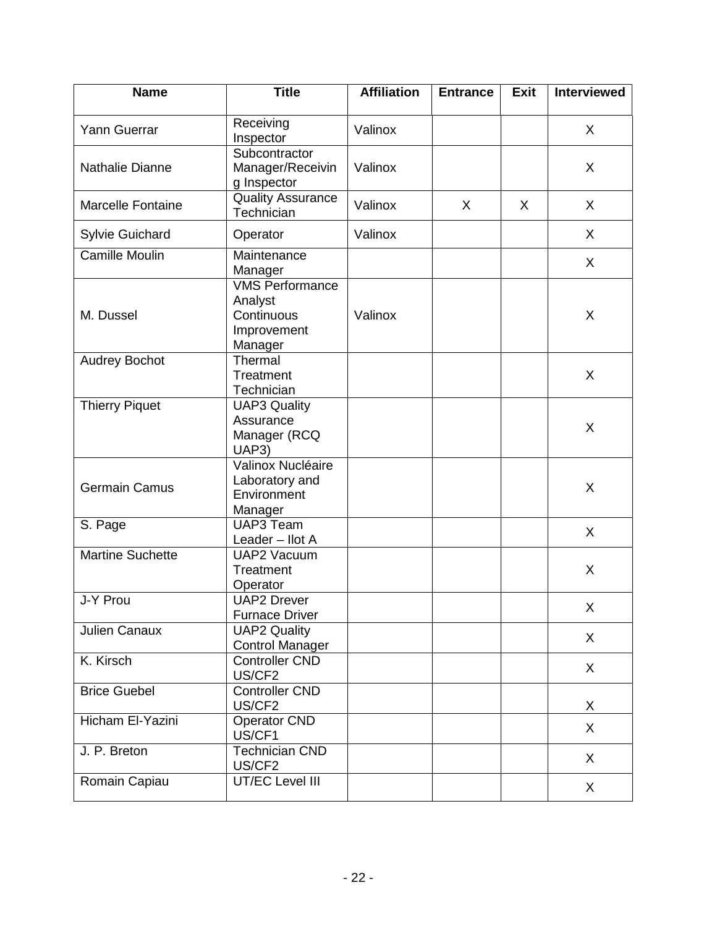| <b>Name</b>              | <b>Title</b>                                                              | <b>Affiliation</b> | <b>Entrance</b> | <b>Exit</b> | <b>Interviewed</b> |
|--------------------------|---------------------------------------------------------------------------|--------------------|-----------------|-------------|--------------------|
| <b>Yann Guerrar</b>      | Receiving<br>Inspector                                                    | Valinox            |                 |             | X                  |
| <b>Nathalie Dianne</b>   | Subcontractor<br>Manager/Receivin<br>g Inspector                          | Valinox            |                 |             | X                  |
| <b>Marcelle Fontaine</b> | <b>Quality Assurance</b><br>Technician                                    | Valinox            | X               | X           | X                  |
| <b>Sylvie Guichard</b>   | Operator                                                                  | Valinox            |                 |             | X                  |
| <b>Camille Moulin</b>    | Maintenance<br>Manager                                                    |                    |                 |             | X                  |
| M. Dussel                | <b>VMS Performance</b><br>Analyst<br>Continuous<br>Improvement<br>Manager | Valinox            |                 |             | X                  |
| <b>Audrey Bochot</b>     | Thermal<br>Treatment<br>Technician                                        |                    |                 |             | X                  |
| <b>Thierry Piquet</b>    | <b>UAP3 Quality</b><br>Assurance<br>Manager (RCQ<br>UAP3)                 |                    |                 |             | X                  |
| <b>Germain Camus</b>     | Valinox Nucléaire<br>Laboratory and<br>Environment<br>Manager             |                    |                 |             | X                  |
| S. Page                  | <b>UAP3 Team</b><br>Leader - Ilot A                                       |                    |                 |             | X                  |
| <b>Martine Suchette</b>  | <b>UAP2 Vacuum</b><br>Treatment<br>Operator                               |                    |                 |             | X                  |
| J-Y Prou                 | <b>UAP2 Drever</b><br><b>Furnace Driver</b>                               |                    |                 |             | X                  |
| Julien Canaux            | <b>UAP2 Quality</b><br><b>Control Manager</b>                             |                    |                 |             | X                  |
| K. Kirsch                | <b>Controller CND</b><br>US/CF2                                           |                    |                 |             | X                  |
| <b>Brice Guebel</b>      | <b>Controller CND</b><br>US/CF2                                           |                    |                 |             | X                  |
| Hicham El-Yazini         | <b>Operator CND</b><br>US/CF1                                             |                    |                 |             | X                  |
| J. P. Breton             | <b>Technician CND</b><br>US/CF2                                           |                    |                 |             | X                  |
| Romain Capiau            | <b>UT/EC Level III</b>                                                    |                    |                 |             | X                  |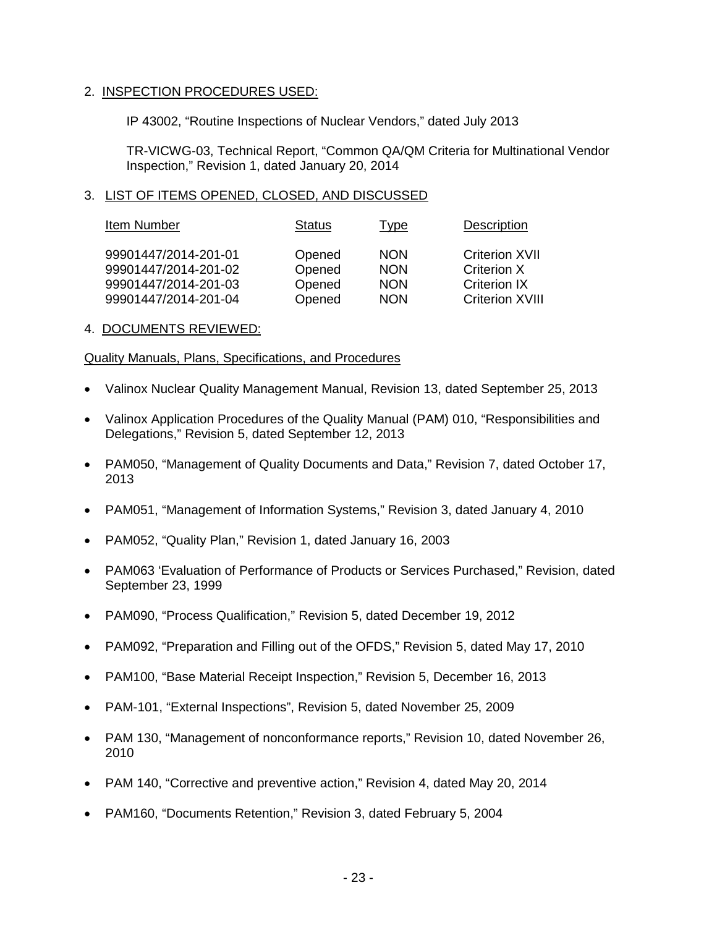#### 2. INSPECTION PROCEDURES USED:

IP 43002, "Routine Inspections of Nuclear Vendors," dated July 2013

TR-VICWG-03, Technical Report, "Common QA/QM Criteria for Multinational Vendor Inspection," Revision 1, dated January 20, 2014

#### 3. LIST OF ITEMS OPENED, CLOSED, AND DISCUSSED

| Item Number          | <b>Status</b> | Type       | <b>Description</b>     |
|----------------------|---------------|------------|------------------------|
| 99901447/2014-201-01 | Opened        | <b>NON</b> | <b>Criterion XVII</b>  |
| 99901447/2014-201-02 | Opened        | <b>NON</b> | Criterion X            |
| 99901447/2014-201-03 | Opened        | <b>NON</b> | <b>Criterion IX</b>    |
| 99901447/2014-201-04 | Opened        | <b>NON</b> | <b>Criterion XVIII</b> |

#### 4. DOCUMENTS REVIEWED:

Quality Manuals, Plans, Specifications, and Procedures

- Valinox Nuclear Quality Management Manual, Revision 13, dated September 25, 2013
- Valinox Application Procedures of the Quality Manual (PAM) 010, "Responsibilities and Delegations," Revision 5, dated September 12, 2013
- PAM050, "Management of Quality Documents and Data," Revision 7, dated October 17, 2013
- PAM051, "Management of Information Systems," Revision 3, dated January 4, 2010
- PAM052, "Quality Plan," Revision 1, dated January 16, 2003
- PAM063 'Evaluation of Performance of Products or Services Purchased," Revision, dated September 23, 1999
- PAM090, "Process Qualification," Revision 5, dated December 19, 2012
- PAM092, "Preparation and Filling out of the OFDS," Revision 5, dated May 17, 2010
- PAM100, "Base Material Receipt Inspection," Revision 5, December 16, 2013
- PAM-101, "External Inspections", Revision 5, dated November 25, 2009
- PAM 130, "Management of nonconformance reports," Revision 10, dated November 26, 2010
- PAM 140, "Corrective and preventive action," Revision 4, dated May 20, 2014
- PAM160, "Documents Retention," Revision 3, dated February 5, 2004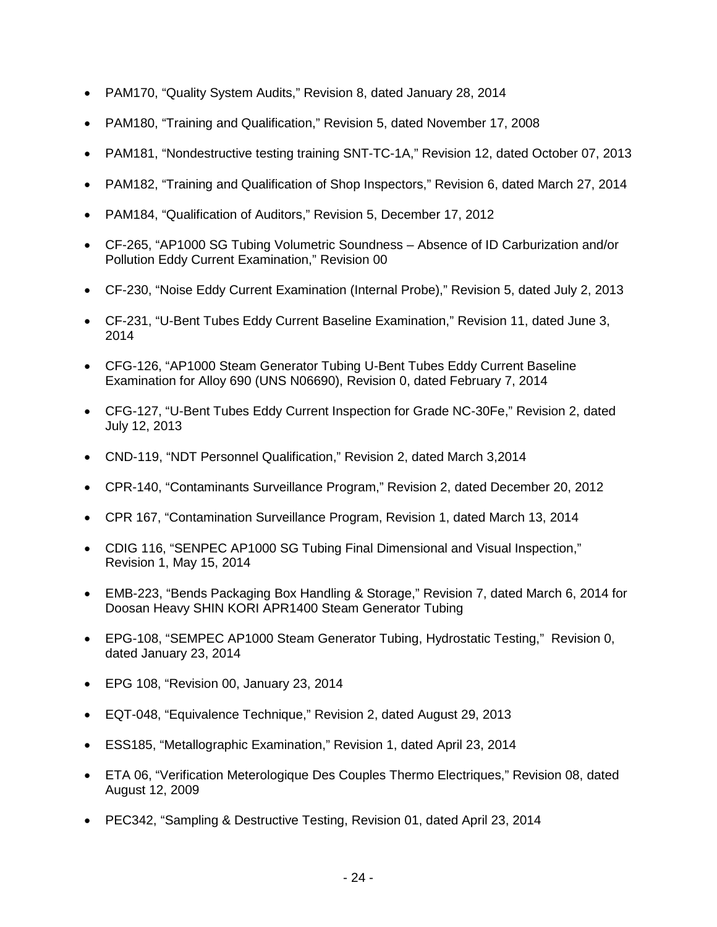- PAM170, "Quality System Audits," Revision 8, dated January 28, 2014
- PAM180, "Training and Qualification," Revision 5, dated November 17, 2008
- PAM181, "Nondestructive testing training SNT-TC-1A," Revision 12, dated October 07, 2013
- PAM182, "Training and Qualification of Shop Inspectors," Revision 6, dated March 27, 2014
- PAM184, "Qualification of Auditors," Revision 5, December 17, 2012
- CF-265, "AP1000 SG Tubing Volumetric Soundness Absence of ID Carburization and/or Pollution Eddy Current Examination," Revision 00
- CF-230, "Noise Eddy Current Examination (Internal Probe)," Revision 5, dated July 2, 2013
- CF-231, "U-Bent Tubes Eddy Current Baseline Examination," Revision 11, dated June 3, 2014
- CFG-126, "AP1000 Steam Generator Tubing U-Bent Tubes Eddy Current Baseline Examination for Alloy 690 (UNS N06690), Revision 0, dated February 7, 2014
- CFG-127, "U-Bent Tubes Eddy Current Inspection for Grade NC-30Fe," Revision 2, dated July 12, 2013
- CND-119, "NDT Personnel Qualification," Revision 2, dated March 3,2014
- CPR-140, "Contaminants Surveillance Program," Revision 2, dated December 20, 2012
- CPR 167, "Contamination Surveillance Program, Revision 1, dated March 13, 2014
- CDIG 116, "SENPEC AP1000 SG Tubing Final Dimensional and Visual Inspection," Revision 1, May 15, 2014
- EMB-223, "Bends Packaging Box Handling & Storage," Revision 7, dated March 6, 2014 for Doosan Heavy SHIN KORI APR1400 Steam Generator Tubing
- EPG-108, "SEMPEC AP1000 Steam Generator Tubing, Hydrostatic Testing," Revision 0, dated January 23, 2014
- EPG 108, "Revision 00, January 23, 2014
- EQT-048, "Equivalence Technique," Revision 2, dated August 29, 2013
- ESS185, "Metallographic Examination," Revision 1, dated April 23, 2014
- ETA 06, "Verification Meterologique Des Couples Thermo Electriques," Revision 08, dated August 12, 2009
- PEC342, "Sampling & Destructive Testing, Revision 01, dated April 23, 2014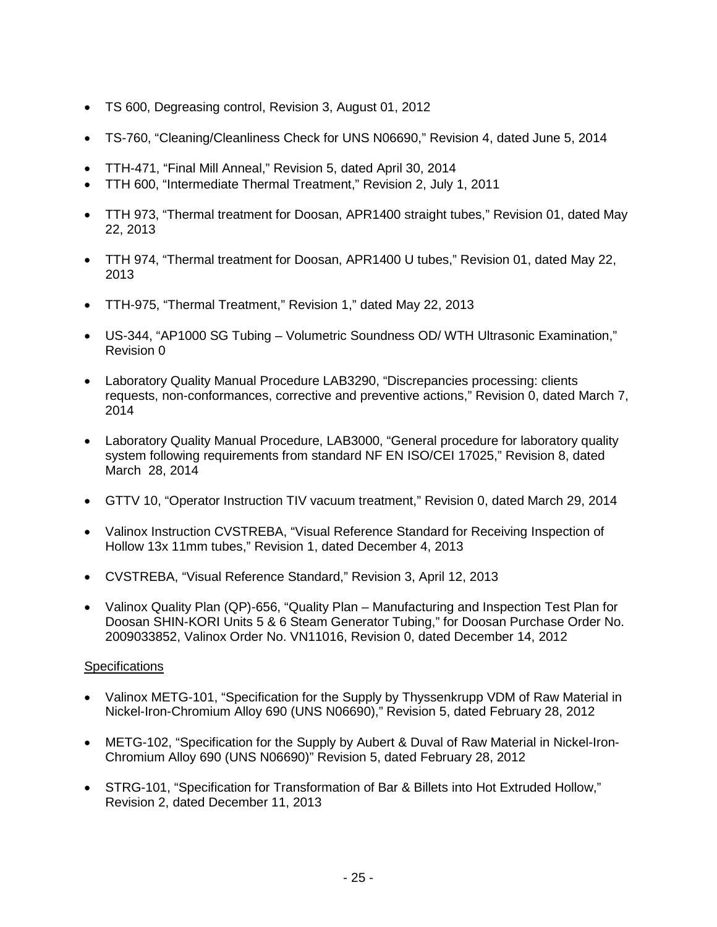- TS 600, Degreasing control, Revision 3, August 01, 2012
- TS-760, "Cleaning/Cleanliness Check for UNS N06690," Revision 4, dated June 5, 2014
- TTH-471, "Final Mill Anneal," Revision 5, dated April 30, 2014
- TTH 600, "Intermediate Thermal Treatment," Revision 2, July 1, 2011
- TTH 973, "Thermal treatment for Doosan, APR1400 straight tubes," Revision 01, dated May 22, 2013
- TTH 974, "Thermal treatment for Doosan, APR1400 U tubes," Revision 01, dated May 22, 2013
- TTH-975, "Thermal Treatment," Revision 1," dated May 22, 2013
- US-344, "AP1000 SG Tubing Volumetric Soundness OD/ WTH Ultrasonic Examination," Revision 0
- Laboratory Quality Manual Procedure LAB3290, "Discrepancies processing: clients requests, non-conformances, corrective and preventive actions," Revision 0, dated March 7, 2014
- Laboratory Quality Manual Procedure, LAB3000, "General procedure for laboratory quality system following requirements from standard NF EN ISO/CEI 17025," Revision 8, dated March 28, 2014
- GTTV 10, "Operator Instruction TIV vacuum treatment," Revision 0, dated March 29, 2014
- Valinox Instruction CVSTREBA, "Visual Reference Standard for Receiving Inspection of Hollow 13x 11mm tubes," Revision 1, dated December 4, 2013
- CVSTREBA, "Visual Reference Standard," Revision 3, April 12, 2013
- Valinox Quality Plan (QP)-656, "Quality Plan Manufacturing and Inspection Test Plan for Doosan SHIN-KORI Units 5 & 6 Steam Generator Tubing," for Doosan Purchase Order No. 2009033852, Valinox Order No. VN11016, Revision 0, dated December 14, 2012

## **Specifications**

- Valinox METG-101, "Specification for the Supply by Thyssenkrupp VDM of Raw Material in Nickel-Iron-Chromium Alloy 690 (UNS N06690)," Revision 5, dated February 28, 2012
- METG-102, "Specification for the Supply by Aubert & Duval of Raw Material in Nickel-Iron-Chromium Alloy 690 (UNS N06690)" Revision 5, dated February 28, 2012
- STRG-101, "Specification for Transformation of Bar & Billets into Hot Extruded Hollow," Revision 2, dated December 11, 2013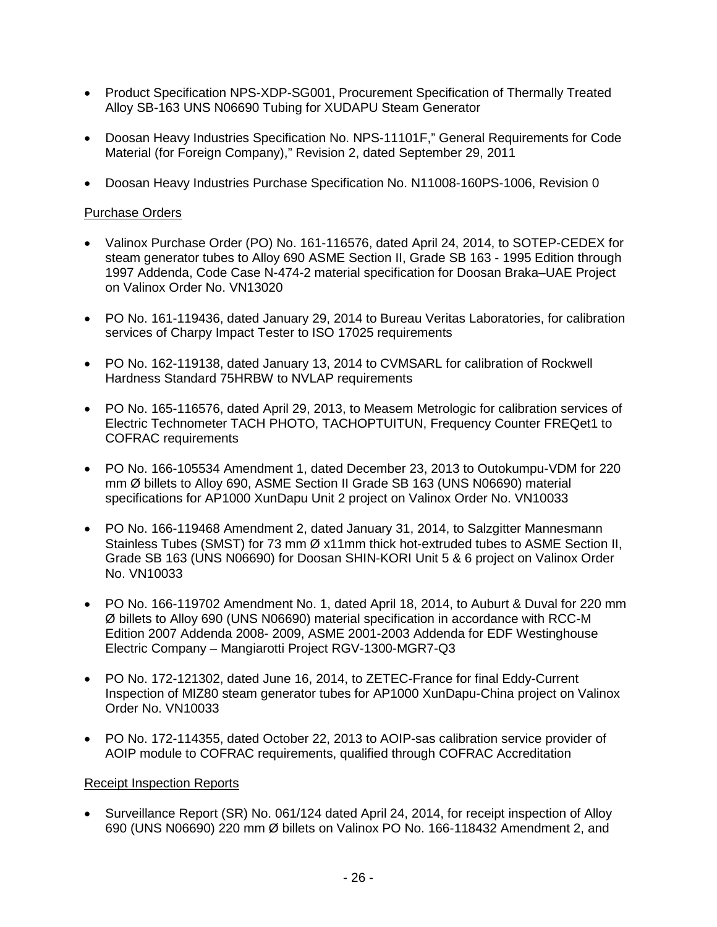- Product Specification NPS-XDP-SG001, Procurement Specification of Thermally Treated Alloy SB-163 UNS N06690 Tubing for XUDAPU Steam Generator
- Doosan Heavy Industries Specification No. NPS-11101F," General Requirements for Code Material (for Foreign Company)," Revision 2, dated September 29, 2011
- Doosan Heavy Industries Purchase Specification No. N11008-160PS-1006, Revision 0

## Purchase Orders

- Valinox Purchase Order (PO) No. 161-116576, dated April 24, 2014, to SOTEP-CEDEX for steam generator tubes to Alloy 690 ASME Section II, Grade SB 163 - 1995 Edition through 1997 Addenda, Code Case N-474-2 material specification for Doosan Braka–UAE Project on Valinox Order No. VN13020
- PO No. 161-119436, dated January 29, 2014 to Bureau Veritas Laboratories, for calibration services of Charpy Impact Tester to ISO 17025 requirements
- PO No. 162-119138, dated January 13, 2014 to CVMSARL for calibration of Rockwell Hardness Standard 75HRBW to NVLAP requirements
- PO No. 165-116576, dated April 29, 2013, to Measem Metrologic for calibration services of Electric Technometer TACH PHOTO, TACHOPTUITUN, Frequency Counter FREQet1 to COFRAC requirements
- PO No. 166-105534 Amendment 1, dated December 23, 2013 to Outokumpu-VDM for 220 mm Ø billets to Alloy 690, ASME Section II Grade SB 163 (UNS N06690) material specifications for AP1000 XunDapu Unit 2 project on Valinox Order No. VN10033
- PO No. 166-119468 Amendment 2, dated January 31, 2014, to Salzgitter Mannesmann Stainless Tubes (SMST) for 73 mm Ø x11mm thick hot-extruded tubes to ASME Section II, Grade SB 163 (UNS N06690) for Doosan SHIN-KORI Unit 5 & 6 project on Valinox Order No. VN10033
- PO No. 166-119702 Amendment No. 1, dated April 18, 2014, to Auburt & Duval for 220 mm Ø billets to Alloy 690 (UNS N06690) material specification in accordance with RCC-M Edition 2007 Addenda 2008- 2009, ASME 2001-2003 Addenda for EDF Westinghouse Electric Company – Mangiarotti Project RGV-1300-MGR7-Q3
- PO No. 172-121302, dated June 16, 2014, to ZETEC-France for final Eddy-Current Inspection of MIZ80 steam generator tubes for AP1000 XunDapu-China project on Valinox Order No. VN10033
- PO No. 172-114355, dated October 22, 2013 to AOIP-sas calibration service provider of AOIP module to COFRAC requirements, qualified through COFRAC Accreditation

#### Receipt Inspection Reports

• Surveillance Report (SR) No. 061/124 dated April 24, 2014, for receipt inspection of Alloy 690 (UNS N06690) 220 mm Ø billets on Valinox PO No. 166-118432 Amendment 2, and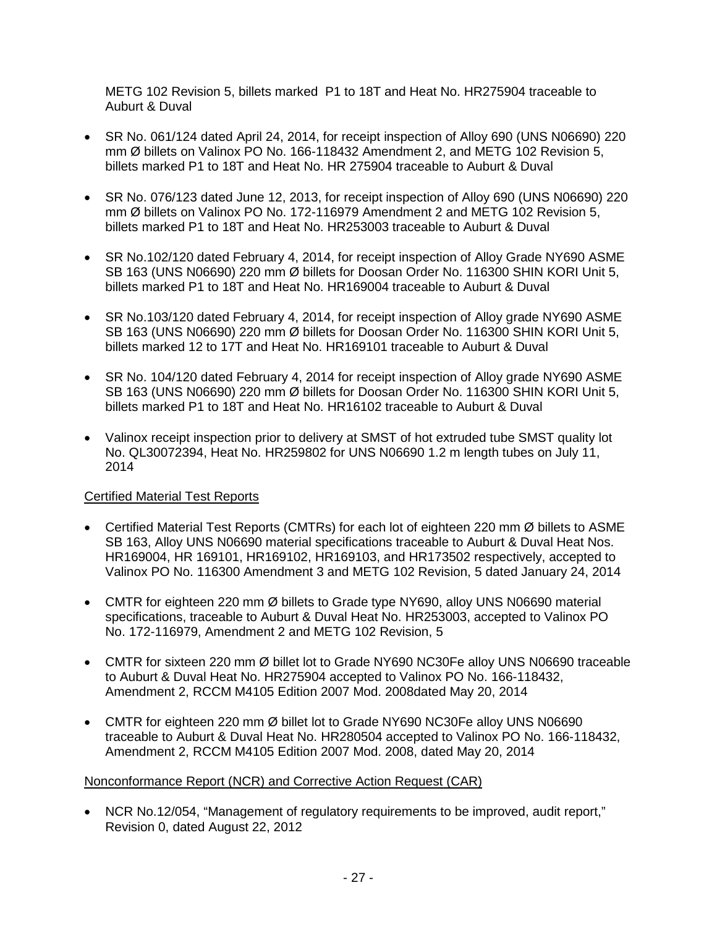METG 102 Revision 5, billets marked P1 to 18T and Heat No. HR275904 traceable to Auburt & Duval

- SR No. 061/124 dated April 24, 2014, for receipt inspection of Alloy 690 (UNS N06690) 220 mm Ø billets on Valinox PO No. 166-118432 Amendment 2, and METG 102 Revision 5, billets marked P1 to 18T and Heat No. HR 275904 traceable to Auburt & Duval
- SR No. 076/123 dated June 12, 2013, for receipt inspection of Alloy 690 (UNS N06690) 220 mm Ø billets on Valinox PO No. 172-116979 Amendment 2 and METG 102 Revision 5, billets marked P1 to 18T and Heat No. HR253003 traceable to Auburt & Duval
- SR No.102/120 dated February 4, 2014, for receipt inspection of Alloy Grade NY690 ASME SB 163 (UNS N06690) 220 mm Ø billets for Doosan Order No. 116300 SHIN KORI Unit 5, billets marked P1 to 18T and Heat No. HR169004 traceable to Auburt & Duval
- SR No.103/120 dated February 4, 2014, for receipt inspection of Alloy grade NY690 ASME SB 163 (UNS N06690) 220 mm Ø billets for Doosan Order No. 116300 SHIN KORI Unit 5, billets marked 12 to 17T and Heat No. HR169101 traceable to Auburt & Duval
- SR No. 104/120 dated February 4, 2014 for receipt inspection of Alloy grade NY690 ASME SB 163 (UNS N06690) 220 mm Ø billets for Doosan Order No. 116300 SHIN KORI Unit 5, billets marked P1 to 18T and Heat No. HR16102 traceable to Auburt & Duval
- Valinox receipt inspection prior to delivery at SMST of hot extruded tube SMST quality lot No. QL30072394, Heat No. HR259802 for UNS N06690 1.2 m length tubes on July 11, 2014

# Certified Material Test Reports

- Certified Material Test Reports (CMTRs) for each lot of eighteen 220 mm Ø billets to ASME SB 163, Alloy UNS N06690 material specifications traceable to Auburt & Duval Heat Nos. HR169004, HR 169101, HR169102, HR169103, and HR173502 respectively, accepted to Valinox PO No. 116300 Amendment 3 and METG 102 Revision, 5 dated January 24, 2014
- CMTR for eighteen 220 mm Ø billets to Grade type NY690, alloy UNS N06690 material specifications, traceable to Auburt & Duval Heat No. HR253003, accepted to Valinox PO No. 172-116979, Amendment 2 and METG 102 Revision, 5
- CMTR for sixteen 220 mm Ø billet lot to Grade NY690 NC30Fe alloy UNS N06690 traceable to Auburt & Duval Heat No. HR275904 accepted to Valinox PO No. 166-118432, Amendment 2, RCCM M4105 Edition 2007 Mod. 2008dated May 20, 2014
- CMTR for eighteen 220 mm Ø billet lot to Grade NY690 NC30Fe alloy UNS N06690 traceable to Auburt & Duval Heat No. HR280504 accepted to Valinox PO No. 166-118432, Amendment 2, RCCM M4105 Edition 2007 Mod. 2008, dated May 20, 2014

## Nonconformance Report (NCR) and Corrective Action Request (CAR)

• NCR No.12/054, "Management of regulatory requirements to be improved, audit report," Revision 0, dated August 22, 2012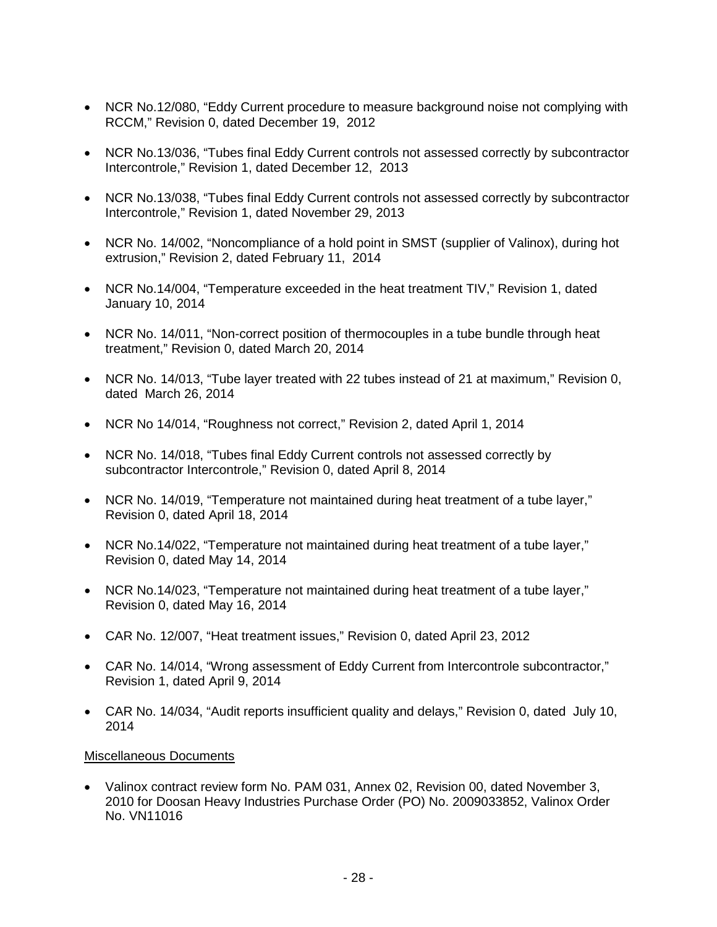- NCR No.12/080, "Eddy Current procedure to measure background noise not complying with RCCM," Revision 0, dated December 19, 2012
- NCR No.13/036, "Tubes final Eddy Current controls not assessed correctly by subcontractor Intercontrole," Revision 1, dated December 12, 2013
- NCR No.13/038, "Tubes final Eddy Current controls not assessed correctly by subcontractor Intercontrole," Revision 1, dated November 29, 2013
- NCR No. 14/002, "Noncompliance of a hold point in SMST (supplier of Valinox), during hot extrusion," Revision 2, dated February 11, 2014
- NCR No.14/004, "Temperature exceeded in the heat treatment TIV," Revision 1, dated January 10, 2014
- NCR No. 14/011, "Non-correct position of thermocouples in a tube bundle through heat treatment," Revision 0, dated March 20, 2014
- NCR No. 14/013, "Tube layer treated with 22 tubes instead of 21 at maximum," Revision 0, dated March 26, 2014
- NCR No 14/014, "Roughness not correct," Revision 2, dated April 1, 2014
- NCR No. 14/018, "Tubes final Eddy Current controls not assessed correctly by subcontractor Intercontrole," Revision 0, dated April 8, 2014
- NCR No. 14/019, "Temperature not maintained during heat treatment of a tube layer," Revision 0, dated April 18, 2014
- NCR No.14/022, "Temperature not maintained during heat treatment of a tube layer," Revision 0, dated May 14, 2014
- NCR No.14/023, "Temperature not maintained during heat treatment of a tube layer," Revision 0, dated May 16, 2014
- CAR No. 12/007, "Heat treatment issues," Revision 0, dated April 23, 2012
- CAR No. 14/014, "Wrong assessment of Eddy Current from Intercontrole subcontractor," Revision 1, dated April 9, 2014
- CAR No. 14/034, "Audit reports insufficient quality and delays," Revision 0, dated July 10, 2014

#### Miscellaneous Documents

• Valinox contract review form No. PAM 031, Annex 02, Revision 00, dated November 3, 2010 for Doosan Heavy Industries Purchase Order (PO) No. 2009033852, Valinox Order No. VN11016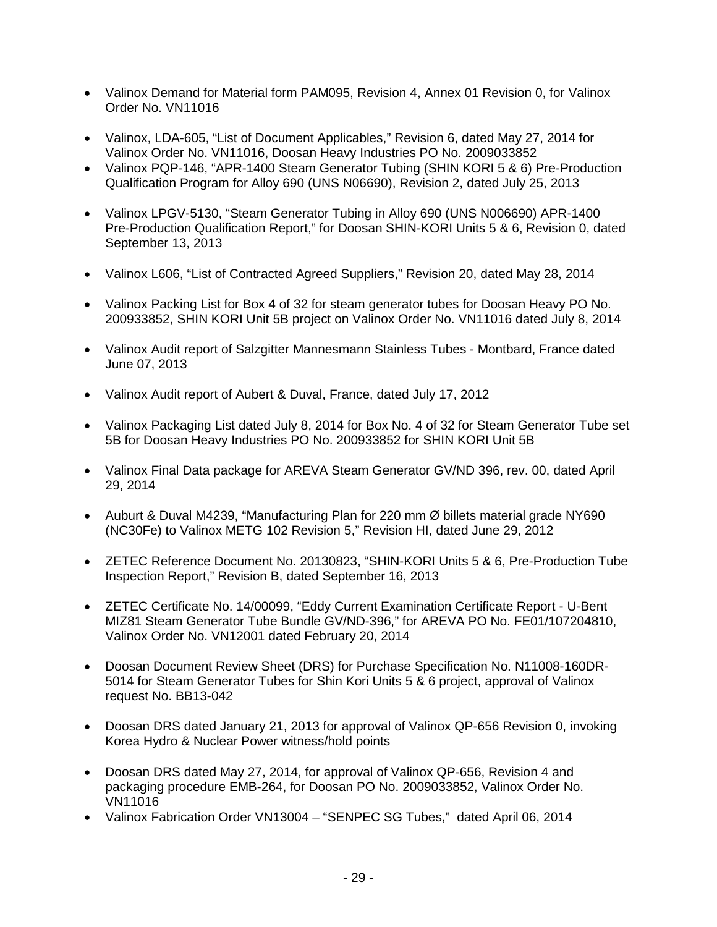- Valinox Demand for Material form PAM095, Revision 4, Annex 01 Revision 0, for Valinox Order No. VN11016
- Valinox, LDA-605, "List of Document Applicables," Revision 6, dated May 27, 2014 for Valinox Order No. VN11016, Doosan Heavy Industries PO No. 2009033852
- Valinox PQP-146, "APR-1400 Steam Generator Tubing (SHIN KORI 5 & 6) Pre-Production Qualification Program for Alloy 690 (UNS N06690), Revision 2, dated July 25, 2013
- Valinox LPGV-5130, "Steam Generator Tubing in Alloy 690 (UNS N006690) APR-1400 Pre-Production Qualification Report," for Doosan SHIN-KORI Units 5 & 6, Revision 0, dated September 13, 2013
- Valinox L606, "List of Contracted Agreed Suppliers," Revision 20, dated May 28, 2014
- Valinox Packing List for Box 4 of 32 for steam generator tubes for Doosan Heavy PO No. 200933852, SHIN KORI Unit 5B project on Valinox Order No. VN11016 dated July 8, 2014
- Valinox Audit report of Salzgitter Mannesmann Stainless Tubes Montbard, France dated June 07, 2013
- Valinox Audit report of Aubert & Duval, France, dated July 17, 2012
- Valinox Packaging List dated July 8, 2014 for Box No. 4 of 32 for Steam Generator Tube set 5B for Doosan Heavy Industries PO No. 200933852 for SHIN KORI Unit 5B
- Valinox Final Data package for AREVA Steam Generator GV/ND 396, rev. 00, dated April 29, 2014
- Auburt & Duval M4239, "Manufacturing Plan for 220 mm Ø billets material grade NY690 (NC30Fe) to Valinox METG 102 Revision 5," Revision HI, dated June 29, 2012
- ZETEC Reference Document No. 20130823, "SHIN-KORI Units 5 & 6, Pre-Production Tube Inspection Report," Revision B, dated September 16, 2013
- ZETEC Certificate No. 14/00099, "Eddy Current Examination Certificate Report U-Bent MIZ81 Steam Generator Tube Bundle GV/ND-396," for AREVA PO No. FE01/107204810, Valinox Order No. VN12001 dated February 20, 2014
- Doosan Document Review Sheet (DRS) for Purchase Specification No. N11008-160DR-5014 for Steam Generator Tubes for Shin Kori Units 5 & 6 project, approval of Valinox request No. BB13-042
- Doosan DRS dated January 21, 2013 for approval of Valinox QP-656 Revision 0, invoking Korea Hydro & Nuclear Power witness/hold points
- Doosan DRS dated May 27, 2014, for approval of Valinox QP-656, Revision 4 and packaging procedure EMB-264, for Doosan PO No. 2009033852, Valinox Order No. VN11016
- Valinox Fabrication Order VN13004 "SENPEC SG Tubes," dated April 06, 2014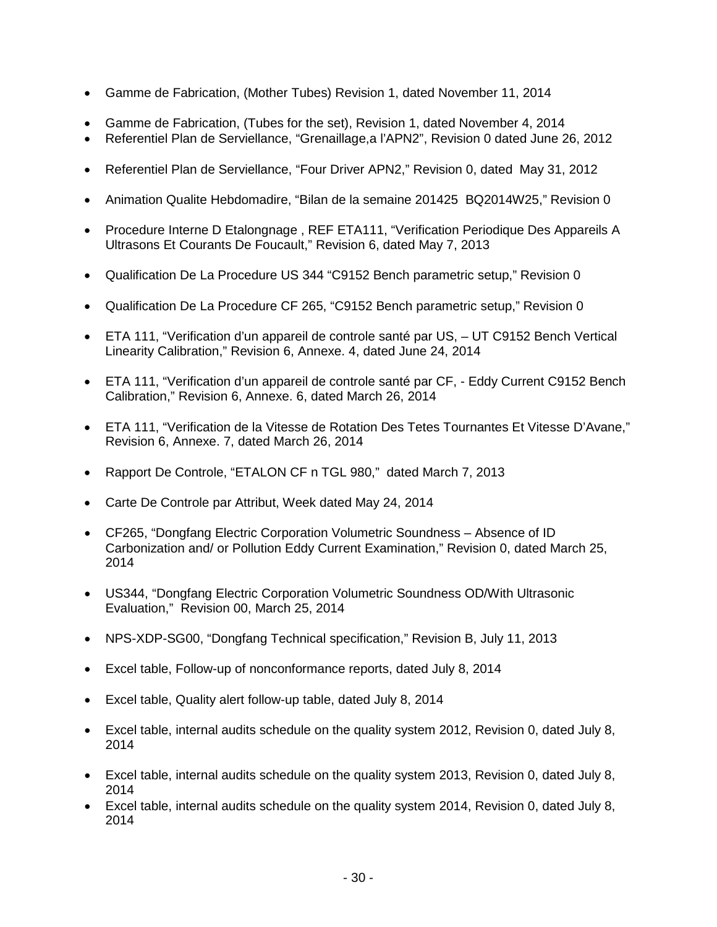- Gamme de Fabrication, (Mother Tubes) Revision 1, dated November 11, 2014
- Gamme de Fabrication, (Tubes for the set), Revision 1, dated November 4, 2014
- Referentiel Plan de Serviellance, "Grenaillage,a l'APN2", Revision 0 dated June 26, 2012
- Referentiel Plan de Serviellance, "Four Driver APN2," Revision 0, dated May 31, 2012
- Animation Qualite Hebdomadire, "Bilan de la semaine 201425 BQ2014W25," Revision 0
- Procedure Interne D Etalongnage , REF ETA111, "Verification Periodique Des Appareils A Ultrasons Et Courants De Foucault," Revision 6, dated May 7, 2013
- Qualification De La Procedure US 344 "C9152 Bench parametric setup," Revision 0
- Qualification De La Procedure CF 265, "C9152 Bench parametric setup," Revision 0
- ETA 111, "Verification d'un appareil de controle santé par US, UT C9152 Bench Vertical Linearity Calibration," Revision 6, Annexe. 4, dated June 24, 2014
- ETA 111, "Verification d'un appareil de controle santé par CF, Eddy Current C9152 Bench Calibration," Revision 6, Annexe. 6, dated March 26, 2014
- ETA 111, "Verification de la Vitesse de Rotation Des Tetes Tournantes Et Vitesse D'Avane," Revision 6, Annexe. 7, dated March 26, 2014
- Rapport De Controle, "ETALON CF n TGL 980," dated March 7, 2013
- Carte De Controle par Attribut, Week dated May 24, 2014
- CF265, "Dongfang Electric Corporation Volumetric Soundness Absence of ID Carbonization and/ or Pollution Eddy Current Examination," Revision 0, dated March 25, 2014
- US344, "Dongfang Electric Corporation Volumetric Soundness OD/With Ultrasonic Evaluation," Revision 00, March 25, 2014
- NPS-XDP-SG00, "Dongfang Technical specification," Revision B, July 11, 2013
- Excel table, Follow-up of nonconformance reports, dated July 8, 2014
- Excel table, Quality alert follow-up table, dated July 8, 2014
- Excel table, internal audits schedule on the quality system 2012, Revision 0, dated July 8, 2014
- Excel table, internal audits schedule on the quality system 2013, Revision 0, dated July 8, 2014
- Excel table, internal audits schedule on the quality system 2014, Revision 0, dated July 8, 2014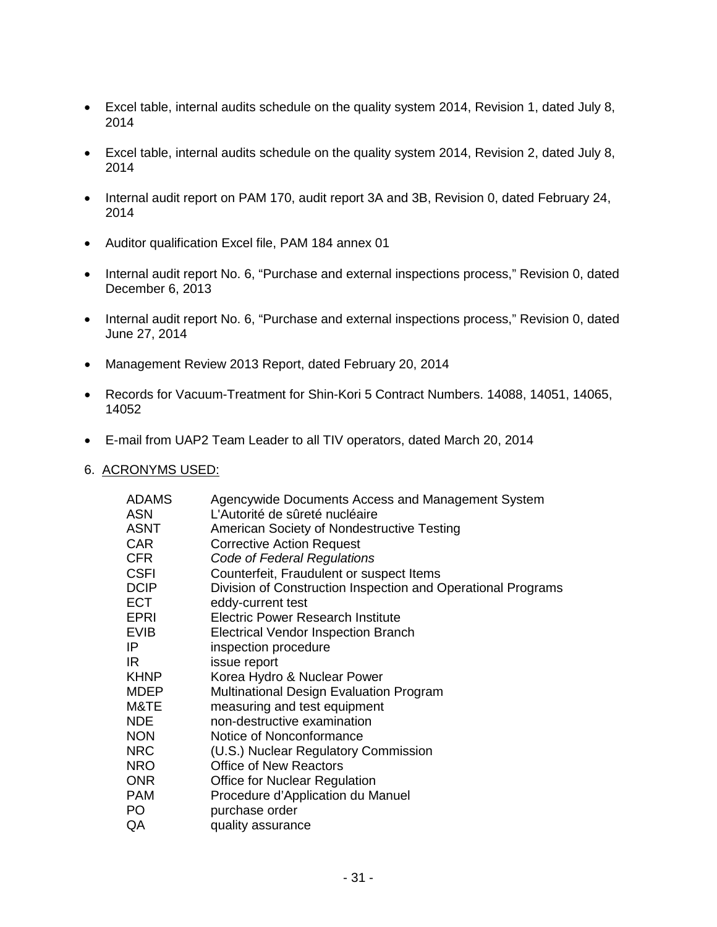- Excel table, internal audits schedule on the quality system 2014, Revision 1, dated July 8, 2014
- Excel table, internal audits schedule on the quality system 2014, Revision 2, dated July 8, 2014
- Internal audit report on PAM 170, audit report 3A and 3B, Revision 0, dated February 24, 2014
- Auditor qualification Excel file, PAM 184 annex 01
- Internal audit report No. 6, "Purchase and external inspections process," Revision 0, dated December 6, 2013
- Internal audit report No. 6, "Purchase and external inspections process," Revision 0, dated June 27, 2014
- Management Review 2013 Report, dated February 20, 2014
- Records for Vacuum-Treatment for Shin-Kori 5 Contract Numbers. 14088, 14051, 14065, 14052
- E-mail from UAP2 Team Leader to all TIV operators, dated March 20, 2014
- 6. ACRONYMS USED:

| <b>ADAMS</b> | Agencywide Documents Access and Management System            |
|--------------|--------------------------------------------------------------|
| <b>ASN</b>   | L'Autorité de sûreté nucléaire                               |
| <b>ASNT</b>  | American Society of Nondestructive Testing                   |
| <b>CAR</b>   | <b>Corrective Action Request</b>                             |
| <b>CFR</b>   | Code of Federal Regulations                                  |
| <b>CSFI</b>  | Counterfeit, Fraudulent or suspect Items                     |
| <b>DCIP</b>  | Division of Construction Inspection and Operational Programs |
| <b>ECT</b>   | eddy-current test                                            |
| <b>EPRI</b>  | <b>Electric Power Research Institute</b>                     |
| <b>EVIB</b>  | Electrical Vendor Inspection Branch                          |
| IP           | inspection procedure                                         |
| IR.          | issue report                                                 |
| <b>KHNP</b>  | Korea Hydro & Nuclear Power                                  |
| <b>MDEP</b>  | Multinational Design Evaluation Program                      |
| M&TE         | measuring and test equipment                                 |
| <b>NDE</b>   | non-destructive examination                                  |
| <b>NON</b>   | Notice of Nonconformance                                     |
| <b>NRC</b>   | (U.S.) Nuclear Regulatory Commission                         |
| <b>NRO</b>   | <b>Office of New Reactors</b>                                |
| <b>ONR</b>   | <b>Office for Nuclear Regulation</b>                         |
| <b>PAM</b>   | Procedure d'Application du Manuel                            |
| PO.          | purchase order                                               |
| QA           | quality assurance                                            |
|              |                                                              |